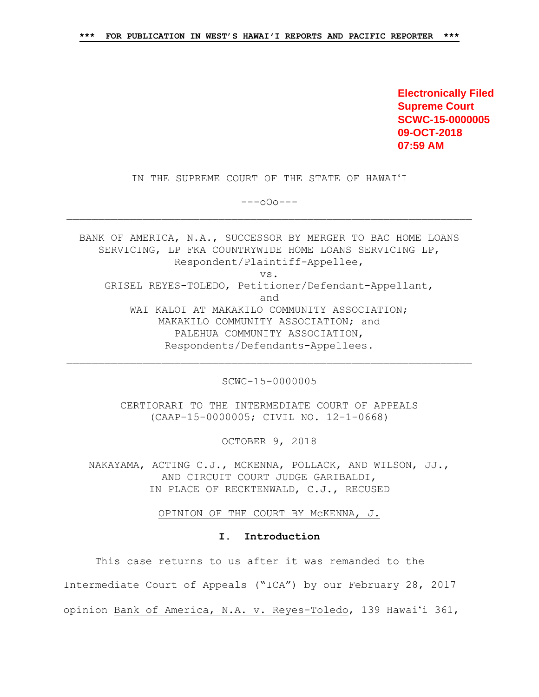**Electronically Filed Supreme Court SCWC-15-0000005 09-OCT-2018 07:59 AM**

IN THE SUPREME COURT OF THE STATE OF HAWAIʻI

---oOo---

BANK OF AMERICA, N.A., SUCCESSOR BY MERGER TO BAC HOME LOANS SERVICING, LP FKA COUNTRYWIDE HOME LOANS SERVICING LP, Respondent/Plaintiff-Appellee, vs. GRISEL REYES-TOLEDO, Petitioner/Defendant-Appellant, and WAI KALOI AT MAKAKILO COMMUNITY ASSOCIATION; MAKAKILO COMMUNITY ASSOCIATION; and PALEHUA COMMUNITY ASSOCIATION, Respondents/Defendants-Appellees.

SCWC-15-0000005

CERTIORARI TO THE INTERMEDIATE COURT OF APPEALS (CAAP-15-0000005; CIVIL NO. 12-1-0668)

OCTOBER 9, 2018

NAKAYAMA, ACTING C.J., MCKENNA, POLLACK, AND WILSON, JJ., AND CIRCUIT COURT JUDGE GARIBALDI, IN PLACE OF RECKTENWALD, C.J., RECUSED

OPINION OF THE COURT BY McKENNA, J.

#### **I. Introduction**

This case returns to us after it was remanded to the Intermediate Court of Appeals ("ICA") by our February 28, 2017 opinion Bank of America, N.A. v. Reyes-Toledo, 139 Hawaiʻi 361,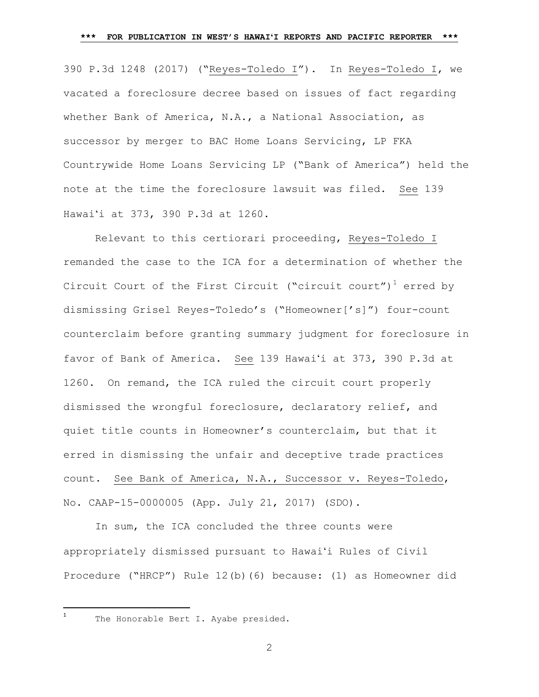390 P.3d 1248 (2017) ("Reyes-Toledo I"). In Reyes-Toledo I, we vacated a foreclosure decree based on issues of fact regarding whether Bank of America, N.A., a National Association, as successor by merger to BAC Home Loans Servicing, LP FKA Countrywide Home Loans Servicing LP ("Bank of America") held the note at the time the foreclosure lawsuit was filed. See 139 Hawaiʻi at 373, 390 P.3d at 1260.

Relevant to this certiorari proceeding, Reyes-Toledo I remanded the case to the ICA for a determination of whether the Circuit Court of the First Circuit ("circuit court")<sup>1</sup> erred by dismissing Grisel Reyes-Toledo's ("Homeowner['s]") four-count counterclaim before granting summary judgment for foreclosure in favor of Bank of America. See 139 Hawaiʻi at 373, 390 P.3d at 1260. On remand, the ICA ruled the circuit court properly dismissed the wrongful foreclosure, declaratory relief, and quiet title counts in Homeowner's counterclaim, but that it erred in dismissing the unfair and deceptive trade practices count. See Bank of America, N.A., Successor v. Reyes-Toledo, No. CAAP-15-0000005 (App. July 21, 2017) (SDO).

In sum, the ICA concluded the three counts were appropriately dismissed pursuant to Hawaiʻi Rules of Civil Procedure ("HRCP") Rule 12(b)(6) because: (1) as Homeowner did

 $\frac{1}{1}$ 

The Honorable Bert I. Ayabe presided.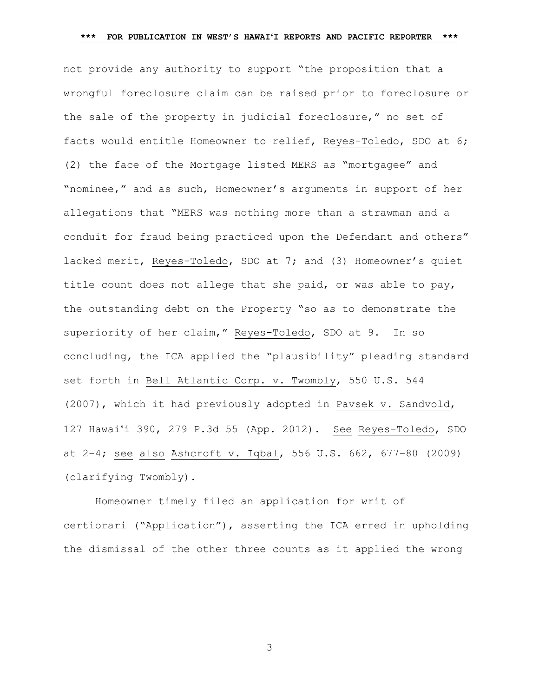not provide any authority to support "the proposition that a wrongful foreclosure claim can be raised prior to foreclosure or the sale of the property in judicial foreclosure," no set of facts would entitle Homeowner to relief, Reyes-Toledo, SDO at 6; (2) the face of the Mortgage listed MERS as "mortgagee" and "nominee," and as such, Homeowner's arguments in support of her allegations that "MERS was nothing more than a strawman and a conduit for fraud being practiced upon the Defendant and others" lacked merit, Reyes-Toledo, SDO at 7; and (3) Homeowner's quiet title count does not allege that she paid, or was able to pay, the outstanding debt on the Property "so as to demonstrate the superiority of her claim," Reyes-Toledo, SDO at 9. In so concluding, the ICA applied the "plausibility" pleading standard set forth in Bell Atlantic Corp. v. Twombly, 550 U.S. 544 (2007), which it had previously adopted in Pavsek v. Sandvold, 127 Hawaiʻi 390, 279 P.3d 55 (App. 2012). See Reyes-Toledo, SDO at 2–4; see also Ashcroft v. Iqbal, 556 U.S. 662, 677–80 (2009) (clarifying Twombly).

Homeowner timely filed an application for writ of certiorari ("Application"), asserting the ICA erred in upholding the dismissal of the other three counts as it applied the wrong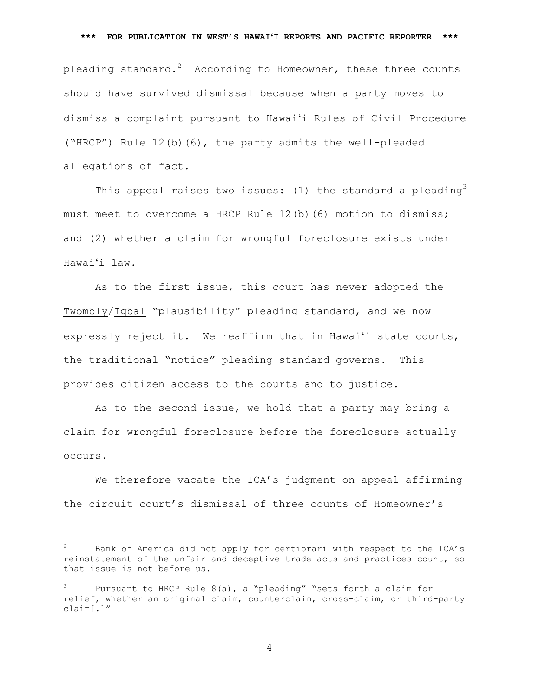pleading standard. $^2$  According to Homeowner, these three counts should have survived dismissal because when a party moves to dismiss a complaint pursuant to Hawaiʻi Rules of Civil Procedure ("HRCP") Rule 12(b)(6), the party admits the well-pleaded allegations of fact.

This appeal raises two issues: (1) the standard a pleading<sup>3</sup> must meet to overcome a HRCP Rule 12(b)(6) motion to dismiss; and (2) whether a claim for wrongful foreclosure exists under Hawaiʻi law.

As to the first issue, this court has never adopted the Twombly/Iqbal "plausibility" pleading standard, and we now expressly reject it. We reaffirm that in Hawaiʻi state courts, the traditional "notice" pleading standard governs. This provides citizen access to the courts and to justice.

As to the second issue, we hold that a party may bring a claim for wrongful foreclosure before the foreclosure actually occurs.

We therefore vacate the ICA's judgment on appeal affirming the circuit court's dismissal of three counts of Homeowner's

l

<sup>2</sup> Bank of America did not apply for certiorari with respect to the ICA's reinstatement of the unfair and deceptive trade acts and practices count, so that issue is not before us.

Pursuant to HRCP Rule  $8(a)$ , a "pleading" "sets forth a claim for relief, whether an original claim, counterclaim, cross-claim, or third-party claim[.]"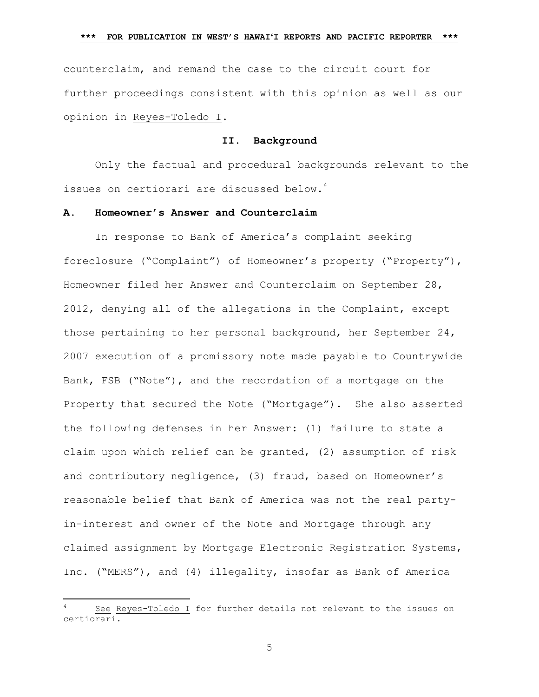counterclaim, and remand the case to the circuit court for further proceedings consistent with this opinion as well as our opinion in Reyes-Toledo I.

### **II. Background**

Only the factual and procedural backgrounds relevant to the issues on certiorari are discussed below.<sup>4</sup>

# **A. Homeowner's Answer and Counterclaim**

In response to Bank of America's complaint seeking foreclosure ("Complaint") of Homeowner's property ("Property"), Homeowner filed her Answer and Counterclaim on September 28, 2012, denying all of the allegations in the Complaint, except those pertaining to her personal background, her September 24, 2007 execution of a promissory note made payable to Countrywide Bank, FSB ("Note"), and the recordation of a mortgage on the Property that secured the Note ("Mortgage"). She also asserted the following defenses in her Answer: (1) failure to state a claim upon which relief can be granted, (2) assumption of risk and contributory negligence, (3) fraud, based on Homeowner's reasonable belief that Bank of America was not the real partyin-interest and owner of the Note and Mortgage through any claimed assignment by Mortgage Electronic Registration Systems, Inc. ("MERS"), and (4) illegality, insofar as Bank of America

 $\overline{\phantom{a}}$ 

See Reyes-Toledo I for further details not relevant to the issues on certiorari.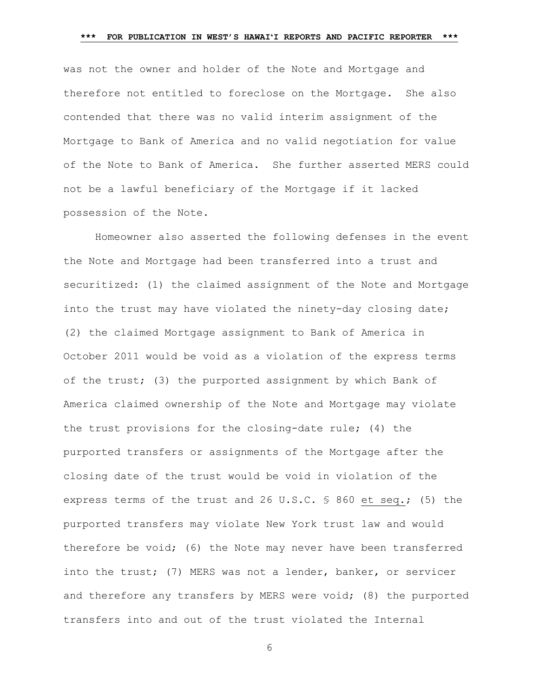was not the owner and holder of the Note and Mortgage and therefore not entitled to foreclose on the Mortgage. She also contended that there was no valid interim assignment of the Mortgage to Bank of America and no valid negotiation for value of the Note to Bank of America. She further asserted MERS could not be a lawful beneficiary of the Mortgage if it lacked possession of the Note.

Homeowner also asserted the following defenses in the event the Note and Mortgage had been transferred into a trust and securitized: (1) the claimed assignment of the Note and Mortgage into the trust may have violated the ninety-day closing date; (2) the claimed Mortgage assignment to Bank of America in October 2011 would be void as a violation of the express terms of the trust; (3) the purported assignment by which Bank of America claimed ownership of the Note and Mortgage may violate the trust provisions for the closing-date rule; (4) the purported transfers or assignments of the Mortgage after the closing date of the trust would be void in violation of the express terms of the trust and 26 U.S.C. § 860 et seq.; (5) the purported transfers may violate New York trust law and would therefore be void; (6) the Note may never have been transferred into the trust; (7) MERS was not a lender, banker, or servicer and therefore any transfers by MERS were void; (8) the purported transfers into and out of the trust violated the Internal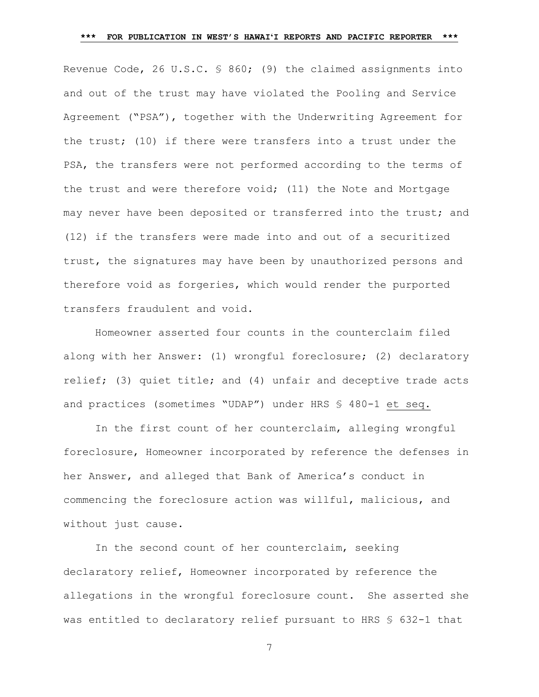Revenue Code, 26 U.S.C. § 860; (9) the claimed assignments into and out of the trust may have violated the Pooling and Service Agreement ("PSA"), together with the Underwriting Agreement for the trust; (10) if there were transfers into a trust under the PSA, the transfers were not performed according to the terms of the trust and were therefore void; (11) the Note and Mortgage may never have been deposited or transferred into the trust; and (12) if the transfers were made into and out of a securitized trust, the signatures may have been by unauthorized persons and therefore void as forgeries, which would render the purported transfers fraudulent and void.

Homeowner asserted four counts in the counterclaim filed along with her Answer: (1) wrongful foreclosure; (2) declaratory relief; (3) quiet title; and (4) unfair and deceptive trade acts and practices (sometimes "UDAP") under HRS § 480-1 et seq.

In the first count of her counterclaim, alleging wrongful foreclosure, Homeowner incorporated by reference the defenses in her Answer, and alleged that Bank of America's conduct in commencing the foreclosure action was willful, malicious, and without just cause.

In the second count of her counterclaim, seeking declaratory relief, Homeowner incorporated by reference the allegations in the wrongful foreclosure count. She asserted she was entitled to declaratory relief pursuant to HRS § 632-1 that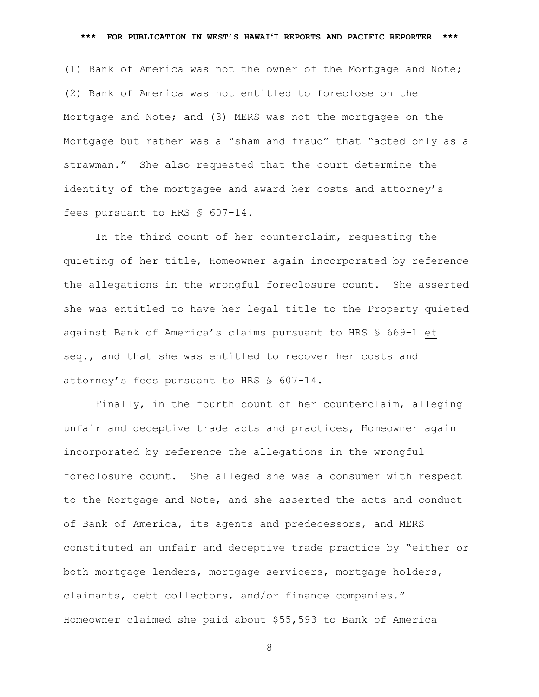(1) Bank of America was not the owner of the Mortgage and Note; (2) Bank of America was not entitled to foreclose on the Mortgage and Note; and (3) MERS was not the mortgagee on the Mortgage but rather was a "sham and fraud" that "acted only as a strawman." She also requested that the court determine the identity of the mortgagee and award her costs and attorney's fees pursuant to HRS § 607-14.

In the third count of her counterclaim, requesting the quieting of her title, Homeowner again incorporated by reference the allegations in the wrongful foreclosure count. She asserted she was entitled to have her legal title to the Property quieted against Bank of America's claims pursuant to HRS § 669-1 et seq., and that she was entitled to recover her costs and attorney's fees pursuant to HRS § 607-14.

Finally, in the fourth count of her counterclaim, alleging unfair and deceptive trade acts and practices, Homeowner again incorporated by reference the allegations in the wrongful foreclosure count. She alleged she was a consumer with respect to the Mortgage and Note, and she asserted the acts and conduct of Bank of America, its agents and predecessors, and MERS constituted an unfair and deceptive trade practice by "either or both mortgage lenders, mortgage servicers, mortgage holders, claimants, debt collectors, and/or finance companies." Homeowner claimed she paid about \$55,593 to Bank of America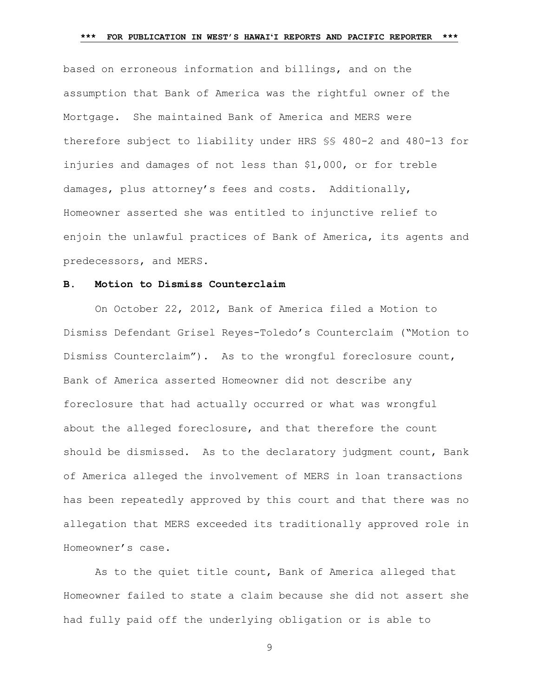based on erroneous information and billings, and on the assumption that Bank of America was the rightful owner of the Mortgage. She maintained Bank of America and MERS were therefore subject to liability under HRS §§ 480-2 and 480-13 for injuries and damages of not less than \$1,000, or for treble damages, plus attorney's fees and costs. Additionally, Homeowner asserted she was entitled to injunctive relief to enjoin the unlawful practices of Bank of America, its agents and predecessors, and MERS.

### **B. Motion to Dismiss Counterclaim**

On October 22, 2012, Bank of America filed a Motion to Dismiss Defendant Grisel Reyes-Toledo's Counterclaim ("Motion to Dismiss Counterclaim"). As to the wrongful foreclosure count, Bank of America asserted Homeowner did not describe any foreclosure that had actually occurred or what was wrongful about the alleged foreclosure, and that therefore the count should be dismissed. As to the declaratory judgment count, Bank of America alleged the involvement of MERS in loan transactions has been repeatedly approved by this court and that there was no allegation that MERS exceeded its traditionally approved role in Homeowner's case.

As to the quiet title count, Bank of America alleged that Homeowner failed to state a claim because she did not assert she had fully paid off the underlying obligation or is able to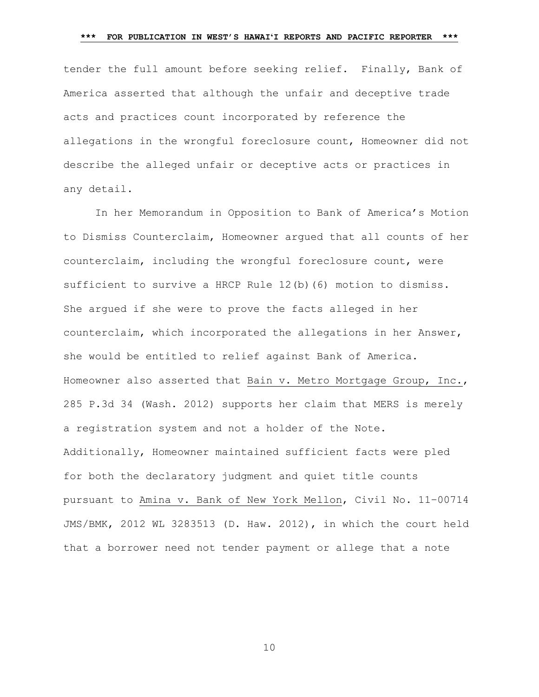tender the full amount before seeking relief. Finally, Bank of America asserted that although the unfair and deceptive trade acts and practices count incorporated by reference the allegations in the wrongful foreclosure count, Homeowner did not describe the alleged unfair or deceptive acts or practices in any detail.

In her Memorandum in Opposition to Bank of America's Motion to Dismiss Counterclaim, Homeowner argued that all counts of her counterclaim, including the wrongful foreclosure count, were sufficient to survive a HRCP Rule 12(b)(6) motion to dismiss. She argued if she were to prove the facts alleged in her counterclaim, which incorporated the allegations in her Answer, she would be entitled to relief against Bank of America. Homeowner also asserted that Bain v. Metro Mortgage Group, Inc., 285 P.3d 34 (Wash. 2012) supports her claim that MERS is merely a registration system and not a holder of the Note. Additionally, Homeowner maintained sufficient facts were pled for both the declaratory judgment and quiet title counts pursuant to Amina v. Bank of New York Mellon, Civil No. 11–00714 JMS/BMK, 2012 WL 3283513 (D. Haw. 2012), in which the court held that a borrower need not tender payment or allege that a note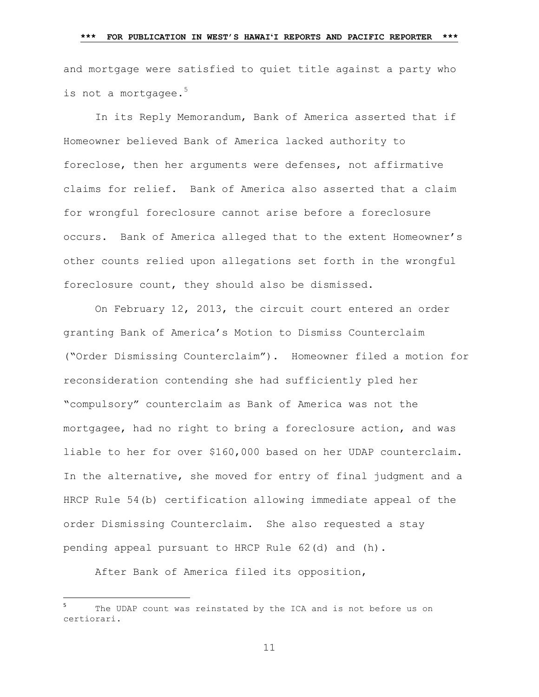and mortgage were satisfied to quiet title against a party who is not a mortgagee.<sup>5</sup>

In its Reply Memorandum, Bank of America asserted that if Homeowner believed Bank of America lacked authority to foreclose, then her arguments were defenses, not affirmative claims for relief. Bank of America also asserted that a claim for wrongful foreclosure cannot arise before a foreclosure occurs. Bank of America alleged that to the extent Homeowner's other counts relied upon allegations set forth in the wrongful foreclosure count, they should also be dismissed.

On February 12, 2013, the circuit court entered an order granting Bank of America's Motion to Dismiss Counterclaim ("Order Dismissing Counterclaim"). Homeowner filed a motion for reconsideration contending she had sufficiently pled her "compulsory" counterclaim as Bank of America was not the mortgagee, had no right to bring a foreclosure action, and was liable to her for over \$160,000 based on her UDAP counterclaim. In the alternative, she moved for entry of final judgment and a HRCP Rule 54(b) certification allowing immediate appeal of the order Dismissing Counterclaim. She also requested a stay pending appeal pursuant to HRCP Rule 62(d) and (h).

After Bank of America filed its opposition,

 $\overline{\phantom{a}}$ 

<sup>5</sup> The UDAP count was reinstated by the ICA and is not before us on certiorari.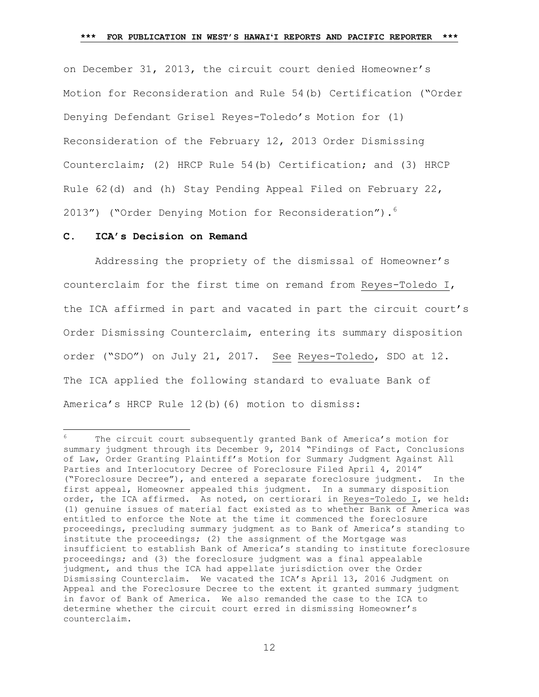on December 31, 2013, the circuit court denied Homeowner's Motion for Reconsideration and Rule 54(b) Certification ("Order Denying Defendant Grisel Reyes-Toledo's Motion for (1) Reconsideration of the February 12, 2013 Order Dismissing Counterclaim; (2) HRCP Rule 54(b) Certification; and (3) HRCP Rule 62(d) and (h) Stay Pending Appeal Filed on February 22, 2013") ("Order Denying Motion for Reconsideration"). 6

#### **C. ICA's Decision on Remand**

 $\overline{a}$ 

Addressing the propriety of the dismissal of Homeowner's counterclaim for the first time on remand from Reyes-Toledo I, the ICA affirmed in part and vacated in part the circuit court's Order Dismissing Counterclaim, entering its summary disposition order ("SDO") on July 21, 2017. See Reyes-Toledo, SDO at 12. The ICA applied the following standard to evaluate Bank of America's HRCP Rule 12(b)(6) motion to dismiss:

The circuit court subsequently granted Bank of America's motion for summary judgment through its December 9, 2014 "Findings of Fact, Conclusions of Law, Order Granting Plaintiff's Motion for Summary Judgment Against All Parties and Interlocutory Decree of Foreclosure Filed April 4, 2014" ("Foreclosure Decree"), and entered a separate foreclosure judgment. In the first appeal, Homeowner appealed this judgment. In a summary disposition order, the ICA affirmed. As noted, on certiorari in Reyes-Toledo I, we held: (1) genuine issues of material fact existed as to whether Bank of America was entitled to enforce the Note at the time it commenced the foreclosure proceedings, precluding summary judgment as to Bank of America's standing to institute the proceedings; (2) the assignment of the Mortgage was insufficient to establish Bank of America's standing to institute foreclosure proceedings; and (3) the foreclosure judgment was a final appealable judgment, and thus the ICA had appellate jurisdiction over the Order Dismissing Counterclaim. We vacated the ICA's April 13, 2016 Judgment on Appeal and the Foreclosure Decree to the extent it granted summary judgment in favor of Bank of America. We also remanded the case to the ICA to determine whether the circuit court erred in dismissing Homeowner's counterclaim.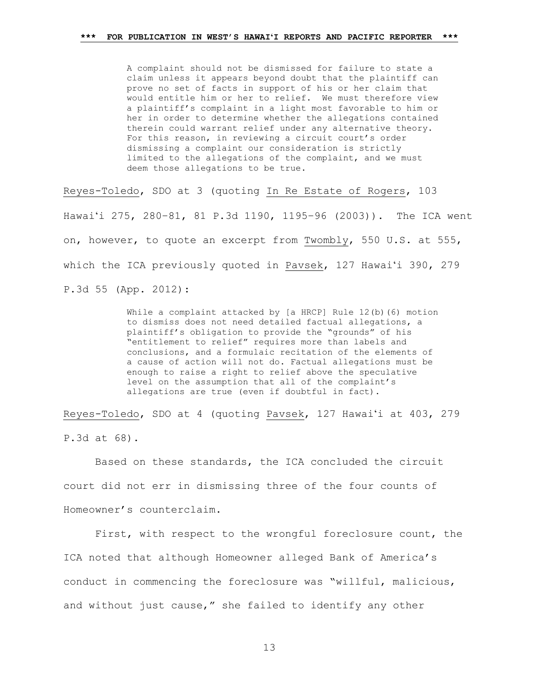A complaint should not be dismissed for failure to state a claim unless it appears beyond doubt that the plaintiff can prove no set of facts in support of his or her claim that would entitle him or her to relief. We must therefore view a plaintiff's complaint in a light most favorable to him or her in order to determine whether the allegations contained therein could warrant relief under any alternative theory. For this reason, in reviewing a circuit court's order dismissing a complaint our consideration is strictly limited to the allegations of the complaint, and we must deem those allegations to be true.

Reyes-Toledo, SDO at 3 (quoting In Re Estate of Rogers, 103 Hawaiʻi 275, 280–81, 81 P.3d 1190, 1195–96 (2003)). The ICA went on, however, to quote an excerpt from Twombly, 550 U.S. at 555, which the ICA previously quoted in Pavsek, 127 Hawaiʻi 390, 279 P.3d 55 (App. 2012):

> While a complaint attacked by [a HRCP] Rule 12(b)(6) motion to dismiss does not need detailed factual allegations, a plaintiff's obligation to provide the "grounds" of his "entitlement to relief" requires more than labels and conclusions, and a formulaic recitation of the elements of a cause of action will not do. Factual allegations must be enough to raise a right to relief above the speculative level on the assumption that all of the complaint's allegations are true (even if doubtful in fact).

Reyes-Toledo, SDO at 4 (quoting Pavsek, 127 Hawaiʻi at 403, 279 P.3d at 68).

Based on these standards, the ICA concluded the circuit court did not err in dismissing three of the four counts of Homeowner's counterclaim.

First, with respect to the wrongful foreclosure count, the ICA noted that although Homeowner alleged Bank of America's conduct in commencing the foreclosure was "willful, malicious, and without just cause," she failed to identify any other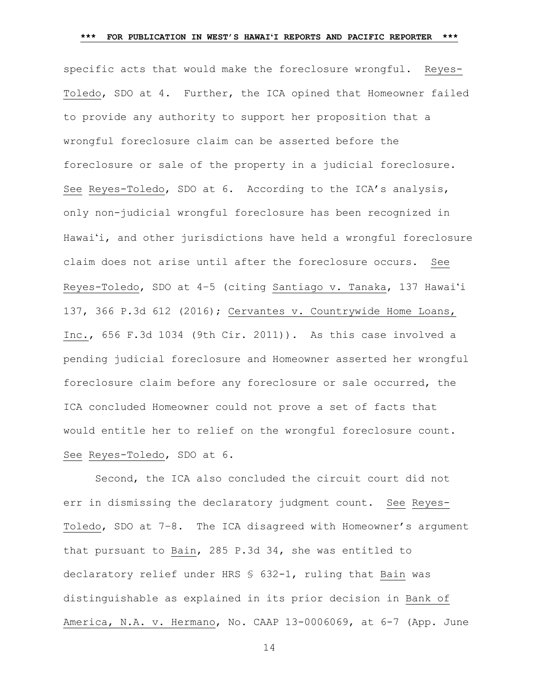specific acts that would make the foreclosure wrongful. Reyes-Toledo, SDO at 4. Further, the ICA opined that Homeowner failed to provide any authority to support her proposition that a wrongful foreclosure claim can be asserted before the foreclosure or sale of the property in a judicial foreclosure. See Reyes-Toledo, SDO at 6. According to the ICA's analysis, only non-judicial wrongful foreclosure has been recognized in Hawaiʻi, and other jurisdictions have held a wrongful foreclosure claim does not arise until after the foreclosure occurs. See Reyes-Toledo, SDO at 4–5 (citing Santiago v. Tanaka, 137 Hawaiʻi 137, 366 P.3d 612 (2016); Cervantes v. Countrywide Home Loans, Inc., 656 F.3d 1034 (9th Cir. 2011)). As this case involved a pending judicial foreclosure and Homeowner asserted her wrongful foreclosure claim before any foreclosure or sale occurred, the ICA concluded Homeowner could not prove a set of facts that would entitle her to relief on the wrongful foreclosure count. See Reyes-Toledo, SDO at 6.

Second, the ICA also concluded the circuit court did not err in dismissing the declaratory judgment count. See Reyes-Toledo, SDO at 7-8. The ICA disagreed with Homeowner's argument that pursuant to Bain, 285 P.3d 34, she was entitled to declaratory relief under HRS § 632-1, ruling that Bain was distinguishable as explained in its prior decision in Bank of America, N.A. v. Hermano, No. CAAP 13-0006069, at 6-7 (App. June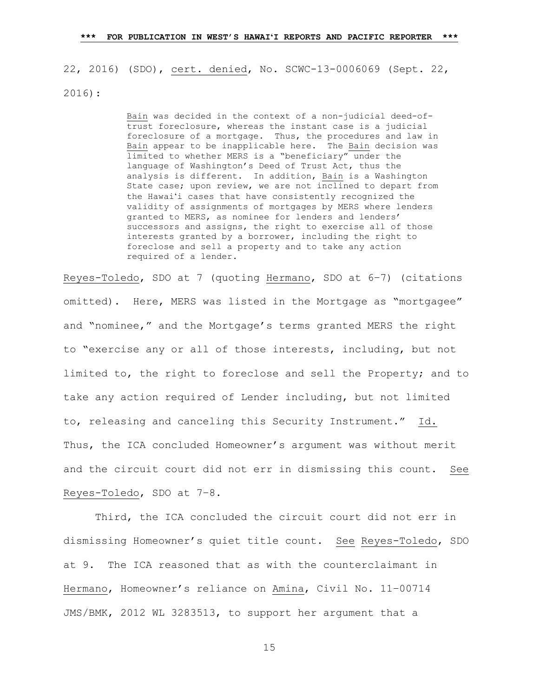22, 2016) (SDO), cert. denied, No. SCWC-13-0006069 (Sept. 22, 2016):

> Bain was decided in the context of a non-judicial deed-oftrust foreclosure, whereas the instant case is a judicial foreclosure of a mortgage. Thus, the procedures and law in Bain appear to be inapplicable here. The Bain decision was limited to whether MERS is a "beneficiary" under the language of Washington's Deed of Trust Act, thus the analysis is different. In addition, Bain is a Washington State case; upon review, we are not inclined to depart from the Hawaiʻi cases that have consistently recognized the validity of assignments of mortgages by MERS where lenders granted to MERS, as nominee for lenders and lenders' successors and assigns, the right to exercise all of those interests granted by a borrower, including the right to foreclose and sell a property and to take any action required of a lender.

Reyes-Toledo, SDO at 7 (quoting Hermano, SDO at 6–7) (citations omitted). Here, MERS was listed in the Mortgage as "mortgagee" and "nominee," and the Mortgage's terms granted MERS the right to "exercise any or all of those interests, including, but not limited to, the right to foreclose and sell the Property; and to take any action required of Lender including, but not limited to, releasing and canceling this Security Instrument." Id. Thus, the ICA concluded Homeowner's argument was without merit and the circuit court did not err in dismissing this count. See Reyes-Toledo, SDO at 7–8.

Third, the ICA concluded the circuit court did not err in dismissing Homeowner's quiet title count. See Reyes-Toledo, SDO at 9. The ICA reasoned that as with the counterclaimant in Hermano, Homeowner's reliance on Amina, Civil No. 11–00714 JMS/BMK, 2012 WL 3283513, to support her argument that a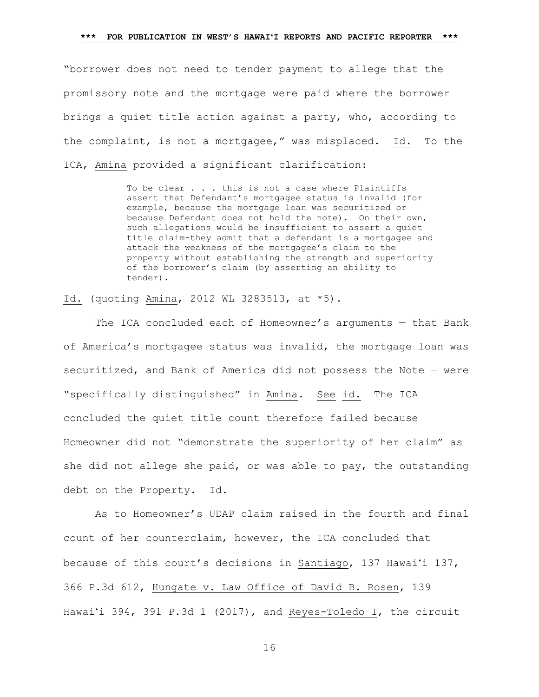"borrower does not need to tender payment to allege that the promissory note and the mortgage were paid where the borrower brings a quiet title action against a party, who, according to the complaint, is not a mortgagee," was misplaced. Id. To the ICA, Amina provided a significant clarification:

> To be clear . . . this is not a case where Plaintiffs assert that Defendant's mortgagee status is invalid (for example, because the mortgage loan was securitized or because Defendant does not hold the note). On their own, such allegations would be insufficient to assert a quiet title claim-they admit that a defendant is a mortgagee and attack the weakness of the mortgagee's claim to the property without establishing the strength and superiority of the borrower's claim (by asserting an ability to tender).

Id. (quoting Amina, 2012 WL 3283513, at \*5).

The ICA concluded each of Homeowner's arguments — that Bank of America's mortgagee status was invalid, the mortgage loan was securitized, and Bank of America did not possess the Note — were "specifically distinguished" in Amina. See id. The ICA concluded the quiet title count therefore failed because Homeowner did not "demonstrate the superiority of her claim" as she did not allege she paid, or was able to pay, the outstanding debt on the Property. Id.

As to Homeowner's UDAP claim raised in the fourth and final count of her counterclaim, however, the ICA concluded that because of this court's decisions in Santiago, 137 Hawaiʻi 137, 366 P.3d 612, Hungate v. Law Office of David B. Rosen, 139 Hawaiʻi 394, 391 P.3d 1 (2017), and Reyes-Toledo I, the circuit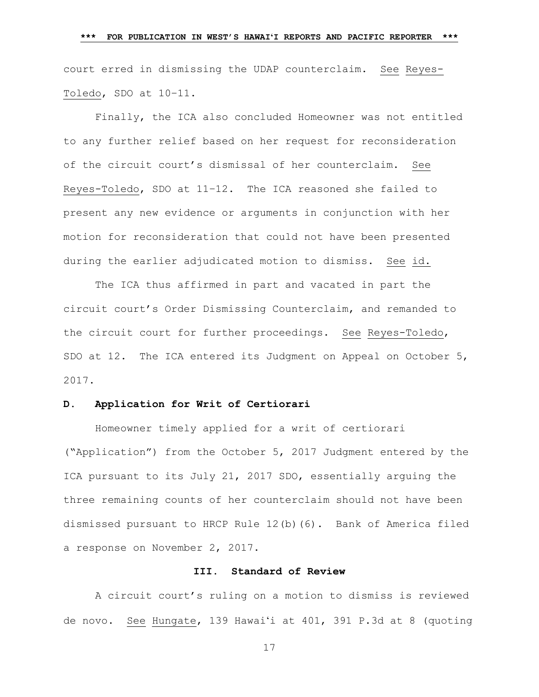court erred in dismissing the UDAP counterclaim. See Reyes-Toledo, SDO at 10–11.

Finally, the ICA also concluded Homeowner was not entitled to any further relief based on her request for reconsideration of the circuit court's dismissal of her counterclaim. See Reyes-Toledo, SDO at 11–12. The ICA reasoned she failed to present any new evidence or arguments in conjunction with her motion for reconsideration that could not have been presented during the earlier adjudicated motion to dismiss. See id.

The ICA thus affirmed in part and vacated in part the circuit court's Order Dismissing Counterclaim, and remanded to the circuit court for further proceedings. See Reyes-Toledo, SDO at 12. The ICA entered its Judgment on Appeal on October 5, 2017.

## **D. Application for Writ of Certiorari**

Homeowner timely applied for a writ of certiorari ("Application") from the October 5, 2017 Judgment entered by the ICA pursuant to its July 21, 2017 SDO, essentially arguing the three remaining counts of her counterclaim should not have been dismissed pursuant to HRCP Rule 12(b)(6). Bank of America filed a response on November 2, 2017.

# **III. Standard of Review**

A circuit court's ruling on a motion to dismiss is reviewed de novo. See Hungate, 139 Hawaiʻi at 401, 391 P.3d at 8 (quoting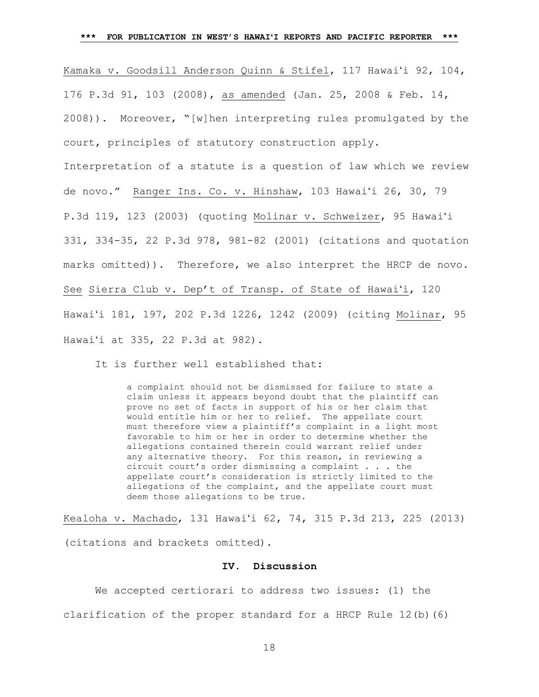Kamaka v. Goodsill Anderson Quinn & Stifel, 117 Hawaiʻi 92, 104, 176 P.3d 91, 103 (2008), as amended (Jan. 25, 2008 & Feb. 14, 2008)). Moreover, "[w]hen interpreting rules promulgated by the court, principles of statutory construction apply. Interpretation of a statute is a question of law which we review de novo." Ranger Ins. Co. v. Hinshaw, 103 Hawaiʻi 26, 30, 79 P.3d 119, 123 (2003) (quoting Molinar v. Schweizer, 95 Hawaiʻi 331, 334-35, 22 P.3d 978, 981-82 (2001) (citations and quotation marks omitted)). Therefore, we also interpret the HRCP de novo. See Sierra Club v. Dep't of Transp. of State of Hawaiʻi, 120 Hawaiʻi 181, 197, 202 P.3d 1226, 1242 (2009) (citing Molinar, 95 Hawaiʻi at 335, 22 P.3d at 982).

It is further well established that:

a complaint should not be dismissed for failure to state a claim unless it appears beyond doubt that the plaintiff can prove no set of facts in support of his or her claim that would entitle him or her to relief. The appellate court must therefore view a plaintiff's complaint in a light most favorable to him or her in order to determine whether the allegations contained therein could warrant relief under any alternative theory. For this reason, in reviewing a circuit court's order dismissing a complaint . . . the appellate court's consideration is strictly limited to the allegations of the complaint, and the appellate court must deem those allegations to be true.

Kealoha v. Machado, 131 Hawaiʻi 62, 74, 315 P.3d 213, 225 (2013) (citations and brackets omitted).

#### **IV. Discussion**

We accepted certiorari to address two issues: (1) the clarification of the proper standard for a HRCP Rule 12(b)(6)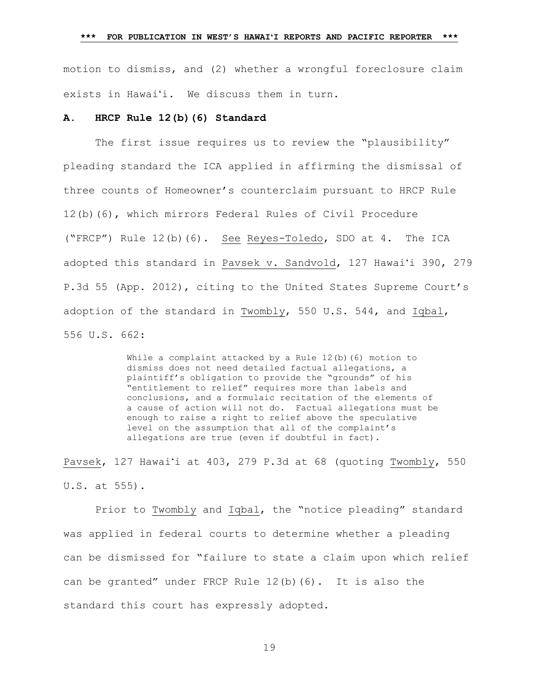motion to dismiss, and (2) whether a wrongful foreclosure claim exists in Hawaiʻi. We discuss them in turn.

#### **A. HRCP Rule 12(b)(6) Standard**

The first issue requires us to review the "plausibility" pleading standard the ICA applied in affirming the dismissal of three counts of Homeowner's counterclaim pursuant to HRCP Rule 12(b)(6), which mirrors Federal Rules of Civil Procedure ("FRCP") Rule 12(b)(6). See Reyes-Toledo, SDO at 4. The ICA adopted this standard in Pavsek v. Sandvold, 127 Hawaiʻi 390, 279 P.3d 55 (App. 2012), citing to the United States Supreme Court's adoption of the standard in Twombly, 550 U.S. 544, and Iqbal, 556 U.S. 662:

> While a complaint attacked by a Rule 12(b)(6) motion to dismiss does not need detailed factual allegations, a plaintiff's obligation to provide the "grounds" of his "entitlement to relief" requires more than labels and conclusions, and a formulaic recitation of the elements of a cause of action will not do. Factual allegations must be enough to raise a right to relief above the speculative level on the assumption that all of the complaint's allegations are true (even if doubtful in fact).

Pavsek, 127 Hawaiʻi at 403, 279 P.3d at 68 (quoting Twombly, 550 U.S. at 555).

Prior to Twombly and Iqbal, the "notice pleading" standard was applied in federal courts to determine whether a pleading can be dismissed for "failure to state a claim upon which relief can be granted" under FRCP Rule 12(b)(6). It is also the standard this court has expressly adopted.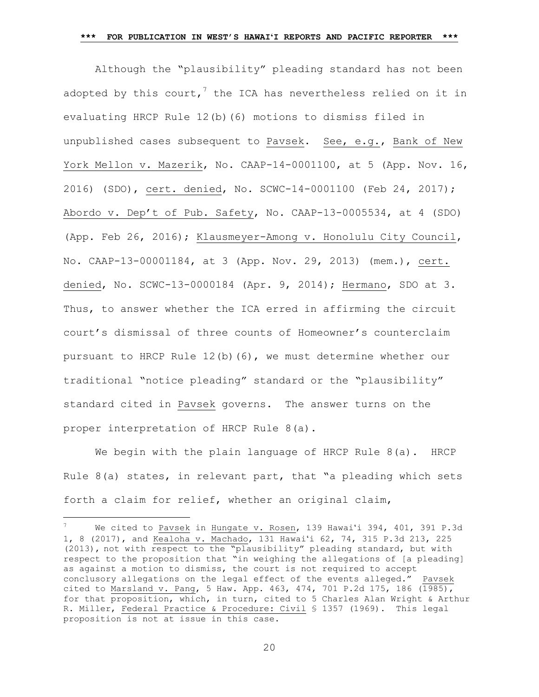Although the "plausibility" pleading standard has not been adopted by this court, $^7$  the ICA has nevertheless relied on it in evaluating HRCP Rule 12(b)(6) motions to dismiss filed in unpublished cases subsequent to Pavsek. See, e.g., Bank of New York Mellon v. Mazerik, No. CAAP-14-0001100, at 5 (App. Nov. 16, 2016) (SDO), cert. denied, No. SCWC-14-0001100 (Feb 24, 2017); Abordo v. Dep't of Pub. Safety, No. CAAP-13-0005534, at 4 (SDO) (App. Feb 26, 2016); Klausmeyer-Among v. Honolulu City Council, No. CAAP-13-00001184, at 3 (App. Nov. 29, 2013) (mem.), cert. denied, No. SCWC-13-0000184 (Apr. 9, 2014); Hermano, SDO at 3. Thus, to answer whether the ICA erred in affirming the circuit court's dismissal of three counts of Homeowner's counterclaim pursuant to HRCP Rule 12(b)(6), we must determine whether our traditional "notice pleading" standard or the "plausibility" standard cited in Pavsek governs. The answer turns on the proper interpretation of HRCP Rule 8(a).

We begin with the plain language of HRCP Rule 8(a). HRCP Rule  $8(a)$  states, in relevant part, that "a pleading which sets forth a claim for relief, whether an original claim,

 $\overline{\phantom{a}}$ 

We cited to Pavsek in Hungate v. Rosen, 139 Hawai'i 394, 401, 391 P.3d 1, 8 (2017), and Kealoha v. Machado, 131 Hawaiʻi 62, 74, 315 P.3d 213, 225 (2013), not with respect to the "plausibility" pleading standard, but with respect to the proposition that "in weighing the allegations of [a pleading] as against a motion to dismiss, the court is not required to accept conclusory allegations on the legal effect of the events alleged." Pavsek cited to Marsland v. Pang, 5 Haw. App. 463, 474, 701 P.2d 175, 186 (1985), for that proposition, which, in turn, cited to 5 Charles Alan Wright & Arthur R. Miller, Federal Practice & Procedure: Civil § 1357 (1969). This legal proposition is not at issue in this case.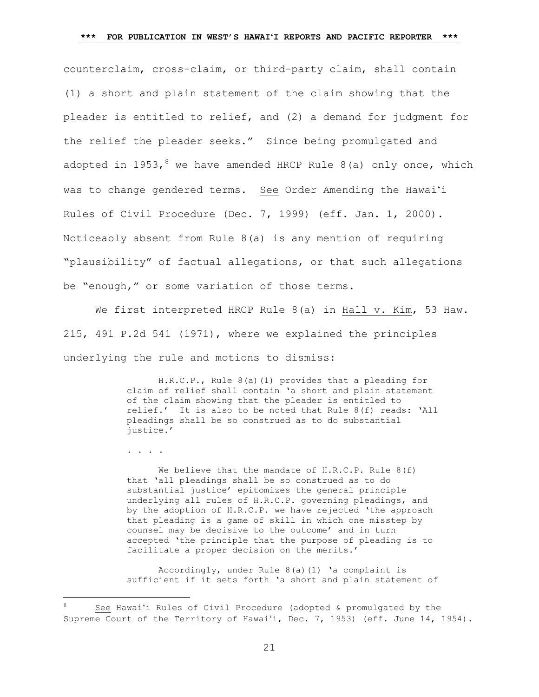counterclaim, cross-claim, or third-party claim, shall contain (1) a short and plain statement of the claim showing that the pleader is entitled to relief, and (2) a demand for judgment for the relief the pleader seeks." Since being promulgated and adopted in 1953,<sup>8</sup> we have amended HRCP Rule 8(a) only once, which was to change gendered terms. See Order Amending the Hawaiʻi Rules of Civil Procedure (Dec. 7, 1999) (eff. Jan. 1, 2000). Noticeably absent from Rule 8(a) is any mention of requiring "plausibility" of factual allegations, or that such allegations be "enough," or some variation of those terms.

We first interpreted HRCP Rule 8(a) in Hall v. Kim, 53 Haw. 215, 491 P.2d 541 (1971), where we explained the principles underlying the rule and motions to dismiss:

> H.R.C.P., Rule 8(a)(1) provides that a pleading for claim of relief shall contain 'a short and plain statement of the claim showing that the pleader is entitled to relief.' It is also to be noted that Rule 8(f) reads: 'All pleadings shall be so construed as to do substantial justice.'

. . . .

l

We believe that the mandate of  $H.R.C.P.$  Rule  $8(f)$ that 'all pleadings shall be so construed as to do substantial justice' epitomizes the general principle underlying all rules of H.R.C.P. governing pleadings, and by the adoption of H.R.C.P. we have rejected 'the approach that pleading is a game of skill in which one misstep by counsel may be decisive to the outcome' and in turn accepted 'the principle that the purpose of pleading is to facilitate a proper decision on the merits.'

Accordingly, under Rule 8(a)(1) 'a complaint is sufficient if it sets forth 'a short and plain statement of

<sup>8</sup> See Hawaiʻi Rules of Civil Procedure (adopted & promulgated by the Supreme Court of the Territory of Hawaiʻi, Dec. 7, 1953) (eff. June 14, 1954).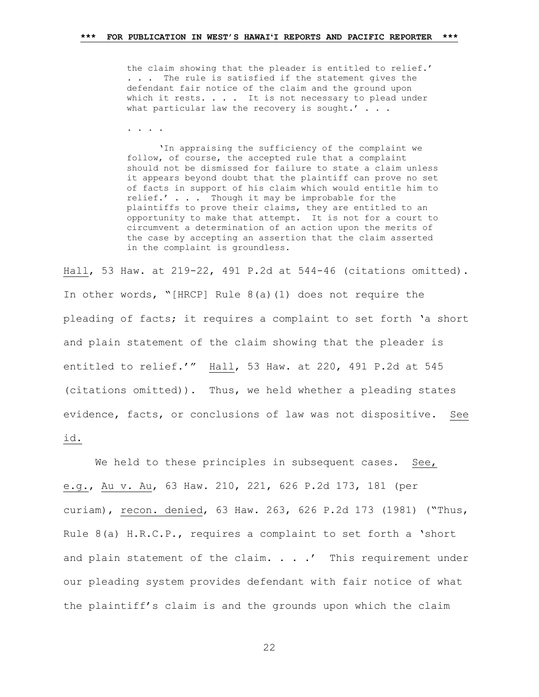the claim showing that the pleader is entitled to relief.' . . . The rule is satisfied if the statement gives the defendant fair notice of the claim and the ground upon which it rests. . . . It is not necessary to plead under what particular law the recovery is sought.'  $\ldots$ 

. . . .

'In appraising the sufficiency of the complaint we follow, of course, the accepted rule that a complaint should not be dismissed for failure to state a claim unless it appears beyond doubt that the plaintiff can prove no set of facts in support of his claim which would entitle him to relief.' . . . Though it may be improbable for the plaintiffs to prove their claims, they are entitled to an opportunity to make that attempt. It is not for a court to circumvent a determination of an action upon the merits of the case by accepting an assertion that the claim asserted in the complaint is groundless.

Hall, 53 Haw. at 219-22, 491 P.2d at 544-46 (citations omitted). In other words, "[HRCP] Rule 8(a)(1) does not require the pleading of facts; it requires a complaint to set forth 'a short and plain statement of the claim showing that the pleader is entitled to relief.'" Hall, 53 Haw. at 220, 491 P.2d at 545 (citations omitted)). Thus, we held whether a pleading states evidence, facts, or conclusions of law was not dispositive. See id.

We held to these principles in subsequent cases. See, e.g., Au v. Au, 63 Haw. 210, 221, 626 P.2d 173, 181 (per curiam), recon. denied, 63 Haw. 263, 626 P.2d 173 (1981) ("Thus, Rule  $8(a)$  H.R.C.P., requires a complaint to set forth a 'short and plain statement of the claim. . . .' This requirement under our pleading system provides defendant with fair notice of what the plaintiff's claim is and the grounds upon which the claim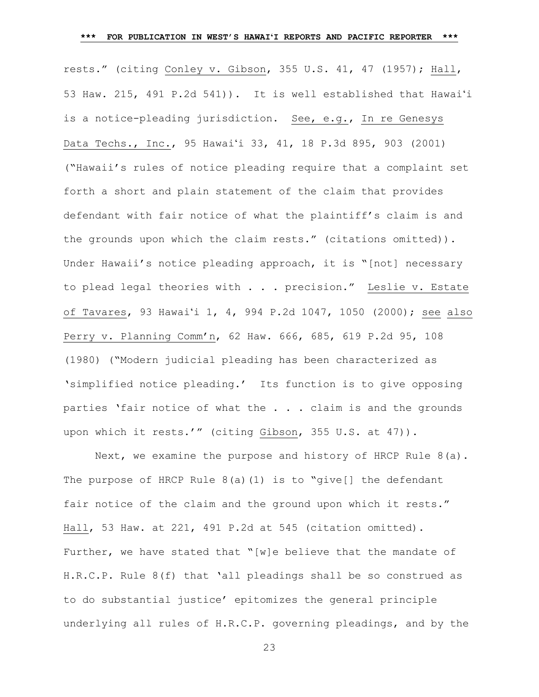#### **\*\*\* FOR PUBLICATION IN WEST'S HAWAIʻI REPORTS AND PACIFIC REPORTER \*\*\***

rests." (citing Conley v. Gibson, 355 U.S. 41, 47 (1957); Hall, 53 Haw. 215, 491 P.2d 541)). It is well established that Hawai'i is a notice-pleading jurisdiction. See, e.g., [In re Genesys](https://1.next.westlaw.com/Link/Document/FullText?findType=Y&serNum=2001191977&pubNum=4645&originatingDoc=I415a129d57c811dc8200d0063168b01f&refType=RP&fi=co_pp_sp_4645_903&originationContext=document&transitionType=DocumentItem&contextData=(sc.Search)#co_pp_sp_4645_903)  Data Techs., Inc., 95 Hawai'i [33, 41, 18 P.3d 895, 903 \(2001\)](https://1.next.westlaw.com/Link/Document/FullText?findType=Y&serNum=2001191977&pubNum=4645&originatingDoc=I415a129d57c811dc8200d0063168b01f&refType=RP&fi=co_pp_sp_4645_903&originationContext=document&transitionType=DocumentItem&contextData=(sc.Search)#co_pp_sp_4645_903) ("Hawaii's rules of notice pleading require that a complaint set forth a short and plain statement of the claim that provides defendant with fair notice of what the plaintiff's claim is and the grounds upon which the claim rests." (citations omitted)). Under Hawaii's notice pleading approach, it is "[not] necessary to plead legal theories with . . . precision." Leslie v. Estate of Tavares, 93 Hawaiʻi 1, 4, 994 P.2d 1047, 1050 (2000); see also Perry v. Planning Comm'n, 62 Haw. 666, 685, 619 P.2d 95, 108 (1980) ("Modern judicial pleading has been characterized as 'simplified notice pleading.' Its function is to give opposing parties 'fair notice of what the . . . claim is and the grounds upon which it rests.'" (citing Gibson, 355 U.S. at 47)).

Next, we examine the purpose and history of HRCP Rule  $8(a)$ . The purpose of HRCP Rule  $8(a)(1)$  is to "give [] the defendant fair notice of the claim and the ground upon which it rests." Hall, 53 Haw. at 221, 491 P.2d at 545 (citation omitted). Further, we have stated that "[w]e believe that the mandate of H.R.C.P. Rule 8(f) that 'all pleadings shall be so construed as to do substantial justice' epitomizes the general principle underlying all rules of H.R.C.P. governing pleadings, and by the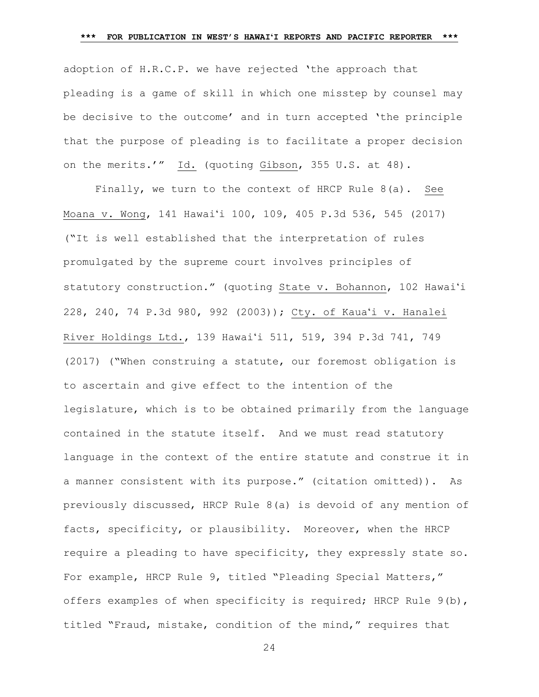adoption of H.R.C.P. we have rejected 'the approach that pleading is a game of skill in which one misstep by counsel may be decisive to the outcome' and in turn accepted 'the principle that the purpose of pleading is to facilitate a proper decision on the merits.'" Id. (quoting Gibson, 355 U.S. at 48).

Finally, we turn to the context of HRCP Rule 8(a). See Moana v. Wong, 141 Hawai'i 100, 109, 405 P.3d 536, 545 (2017) ("It is well established that the interpretation of rules promulgated by the supreme court involves principles of statutory construction." (quoting State v. Bohannon, 102 Hawai'i 228, 240, 74 P.3d 980, 992 (2003)); Cty. of Kaua'i v. Hanalei River Holdings Ltd., 139 Hawai'i 511, 519, 394 P.3d 741, 749 (2017) ("When construing a statute, our foremost obligation is to ascertain and give effect to the intention of the legislature, which is to be obtained primarily from the language contained in the statute itself. And we must read statutory language in the context of the entire statute and construe it in a manner consistent with its purpose." (citation omitted)). As previously discussed, HRCP Rule 8(a) is devoid of any mention of facts, specificity, or plausibility. Moreover, when the HRCP require a pleading to have specificity, they expressly state so. For example, HRCP Rule 9, titled "Pleading Special Matters," offers examples of when specificity is required; HRCP Rule 9(b), titled "Fraud, mistake, condition of the mind," requires that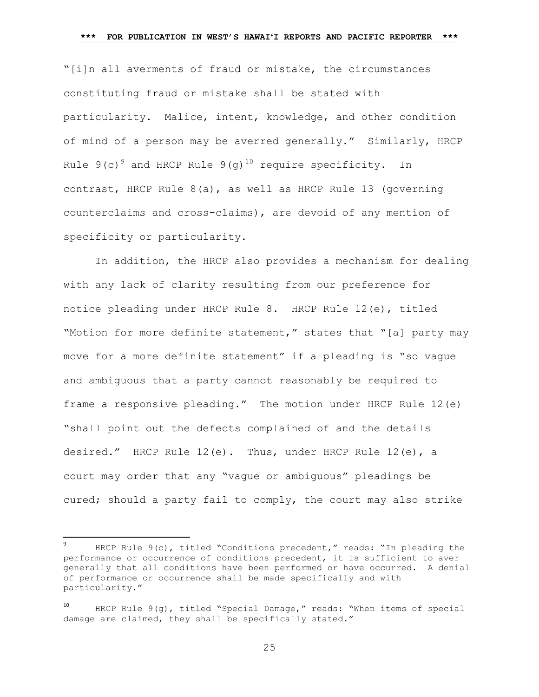"[i]n all averments of fraud or mistake, the circumstances constituting fraud or mistake shall be stated with particularity. Malice, intent, knowledge, and other condition of mind of a person may be averred generally." Similarly, HRCP Rule  $9(c)^9$  and HRCP Rule  $9(g)^{10}$  require specificity. In contrast, HRCP Rule 8(a), as well as HRCP Rule 13 (governing counterclaims and cross-claims), are devoid of any mention of specificity or particularity.

In addition, the HRCP also provides a mechanism for dealing with any lack of clarity resulting from our preference for notice pleading under HRCP Rule 8. HRCP Rule 12(e), titled "Motion for more definite statement," states that "[a] party may move for a more definite statement" if a pleading is "so vague and ambiguous that a party cannot reasonably be required to frame a responsive pleading." The motion under HRCP Rule 12(e) "shall point out the defects complained of and the details desired." HRCP Rule 12(e). Thus, under HRCP Rule 12(e), a court may order that any "vague or ambiguous" pleadings be cured; should a party fail to comply, the court may also strike

 $\overline{a}$ 

<sup>9</sup> HRCP Rule 9(c), titled "Conditions precedent," reads: "In pleading the performance or occurrence of conditions precedent, it is sufficient to aver generally that all conditions have been performed or have occurred. A denial of performance or occurrence shall be made specifically and with particularity."

HRCP Rule 9(g), titled "Special Damage," reads: "When items of special damage are claimed, they shall be specifically stated."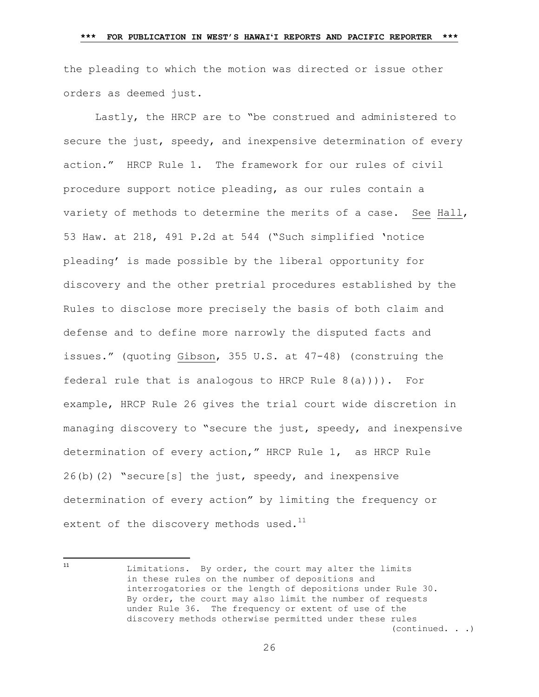the pleading to which the motion was directed or issue other orders as deemed just.

Lastly, the HRCP are to "be construed and administered to secure the just, speedy, and inexpensive determination of every action." HRCP Rule 1. The framework for our rules of civil procedure support notice pleading, as our rules contain a variety of methods to determine the merits of a case. See Hall, 53 Haw. at 218, 491 P.2d at 544 ("Such simplified 'notice pleading' is made possible by the liberal opportunity for discovery and the other pretrial procedures established by the Rules to disclose more precisely the basis of both claim and defense and to define more narrowly the disputed facts and issues." (quoting Gibson, 355 U.S. at 47-48) (construing the federal rule that is analogous to HRCP Rule 8(a)))). For example, HRCP Rule 26 gives the trial court wide discretion in managing discovery to "secure the just, speedy, and inexpensive determination of every action," HRCP Rule 1, as HRCP Rule  $26(b)(2)$  "secure[s] the just, speedy, and inexpensive determination of every action" by limiting the frequency or extent of the discovery methods used. $^{11}$ 

Limitations. By order, the court may alter the limits in these rules on the number of depositions and interrogatories or the length of depositions under Rule 30. By order, the court may also limit the number of requests under Rule 36. The frequency or extent of use of the discovery methods otherwise permitted under these rules (continued. . .)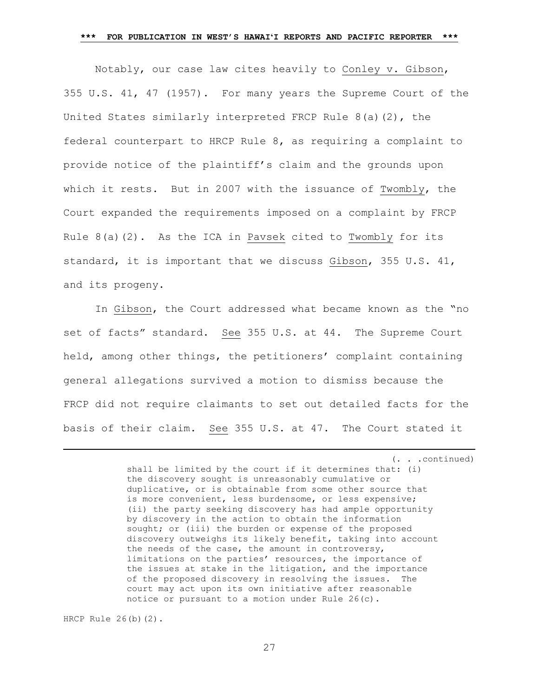Notably, our case law cites heavily to Conley v. Gibson, 355 U.S. 41, 47 (1957). For many years the Supreme Court of the United States similarly interpreted FRCP Rule  $8(a)(2)$ , the federal counterpart to HRCP Rule 8, as requiring a complaint to provide notice of the plaintiff's claim and the grounds upon which it rests. But in 2007 with the issuance of Twombly, the Court expanded the requirements imposed on a complaint by FRCP Rule  $8(a)(2)$ . As the ICA in Pavsek cited to Twombly for its standard, it is important that we discuss Gibson, 355 U.S. 41, and its progeny.

In Gibson, the Court addressed what became known as the "no set of facts" standard. See 355 U.S. at 44. The Supreme Court held, among other things, the petitioners' complaint containing general allegations survived a motion to dismiss because the FRCP did not require claimants to set out detailed facts for the basis of their claim. See 355 U.S. at 47. The Court stated it

> (. . .continued) shall be limited by the court if it determines that: (i) the discovery sought is unreasonably cumulative or duplicative, or is obtainable from some other source that is more convenient, less burdensome, or less expensive; (ii) the party seeking discovery has had ample opportunity by discovery in the action to obtain the information sought; or (iii) the burden or expense of the proposed discovery outweighs its likely benefit, taking into account the needs of the case, the amount in controversy, limitations on the parties' resources, the importance of the issues at stake in the litigation, and the importance of the proposed discovery in resolving the issues. The court may act upon its own initiative after reasonable notice or pursuant to a motion under Rule 26(c).

HRCP Rule 26(b)(2).

 $\overline{\phantom{a}}$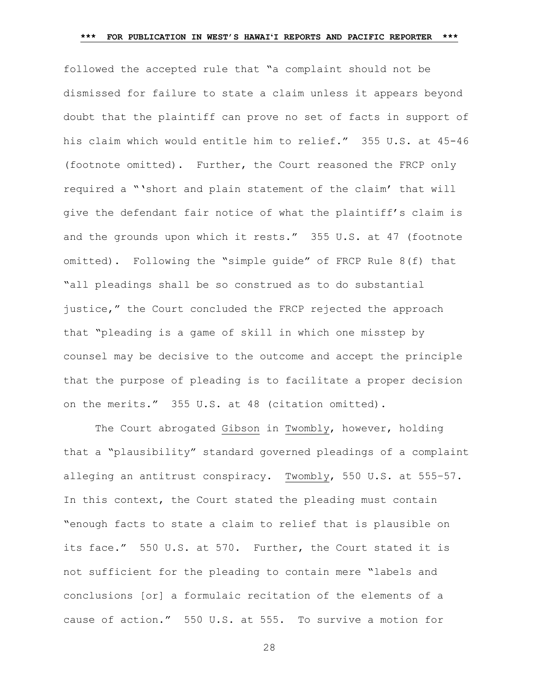followed the accepted rule that "a complaint should not be dismissed for failure to state a claim unless it appears beyond doubt that the plaintiff can prove no set of facts in support of his claim which would entitle him to relief." 355 U.S. at 45-46 (footnote omitted). Further, the Court reasoned the FRCP only required a "'short and plain statement of the claim' that will give the defendant fair notice of what the plaintiff's claim is and the grounds upon which it rests." 355 U.S. at 47 (footnote omitted). Following the "simple guide" of FRCP Rule 8(f) that "all pleadings shall be so construed as to do substantial justice," the Court concluded the FRCP rejected the approach that "pleading is a game of skill in which one misstep by counsel may be decisive to the outcome and accept the principle that the purpose of pleading is to facilitate a proper decision on the merits." 355 U.S. at 48 (citation omitted).

The Court abrogated Gibson in Twombly, however, holding that a "plausibility" standard governed pleadings of a complaint alleging an antitrust conspiracy. Twombly, 550 U.S. at 555–57. In this context, the Court stated the pleading must contain "enough facts to state a claim to relief that is plausible on its face." 550 U.S. at 570. Further, the Court stated it is not sufficient for the pleading to contain mere "labels and conclusions [or] a formulaic recitation of the elements of a cause of action." 550 U.S. at 555. To survive a motion for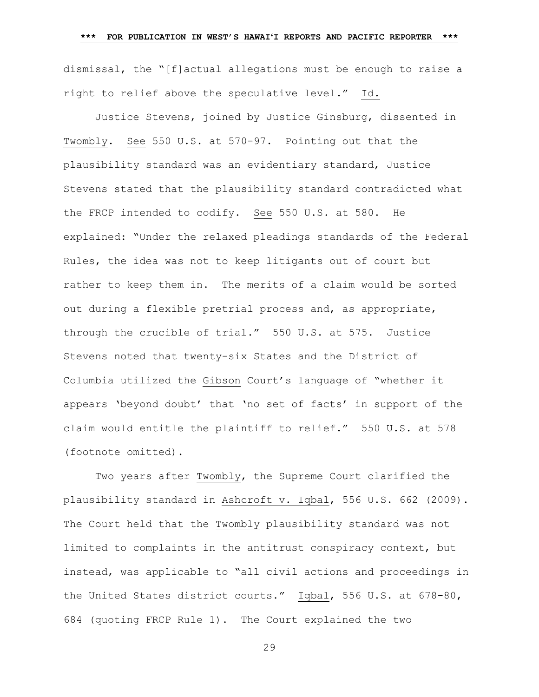dismissal, the "[f]actual allegations must be enough to raise a right to relief above the speculative level." Id.

Justice Stevens, joined by Justice Ginsburg, dissented in Twombly. See 550 U.S. at 570-97. Pointing out that the plausibility standard was an evidentiary standard, Justice Stevens stated that the plausibility standard contradicted what the FRCP intended to codify. See 550 U.S. at 580. He explained: "Under the relaxed pleadings standards of the Federal Rules, the idea was not to keep litigants out of court but rather to keep them in. The merits of a claim would be sorted out during a flexible pretrial process and, as appropriate, through the crucible of trial." 550 U.S. at 575. Justice Stevens noted that twenty-six States and the District of Columbia utilized the Gibson Court's language of "whether it appears 'beyond doubt' that 'no set of facts' in support of the claim would entitle the plaintiff to relief." 550 U.S. at 578 (footnote omitted).

Two years after Twombly, the Supreme Court clarified the plausibility standard in Ashcroft v. Iqbal, 556 U.S. 662 (2009). The Court held that the Twombly plausibility standard was not limited to complaints in the antitrust conspiracy context, but instead, was applicable to "all civil actions and proceedings in the United States district courts." Iqbal, 556 U.S. at 678-80, 684 (quoting FRCP Rule 1). The Court explained the two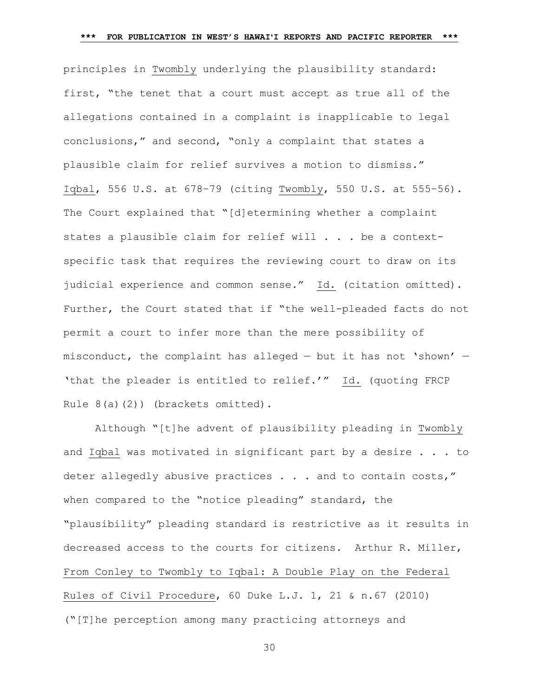principles in Twombly underlying the plausibility standard: first, "the tenet that a court must accept as true all of the allegations contained in a complaint is inapplicable to legal conclusions," and second, "only a complaint that states a plausible claim for relief survives a motion to dismiss." Iqbal, 556 U.S. at 678–79 (citing Twombly, 550 U.S. at 555–56). The Court explained that "[d]etermining whether a complaint states a plausible claim for relief will . . . be a contextspecific task that requires the reviewing court to draw on its judicial experience and common sense." Id. (citation omitted). Further, the Court stated that if "the well-pleaded facts do not permit a court to infer more than the mere possibility of misconduct, the complaint has alleged — but it has not 'shown' — 'that the pleader is entitled to relief.'" Id. (quoting FRCP Rule 8(a)(2)) (brackets omitted).

Although "[t]he advent of plausibility pleading in Twombly and Iqbal was motivated in significant part by a desire . . . to deter allegedly abusive practices . . . and to contain costs," when compared to the "notice pleading" standard, the "plausibility" pleading standard is restrictive as it results in decreased access to the courts for citizens. Arthur R. Miller, From Conley to Twombly to Iqbal: A Double Play on the Federal Rules of Civil Procedure, 60 Duke L.J. 1, 21 & n.67 (2010) ("[T]he perception among many practicing attorneys and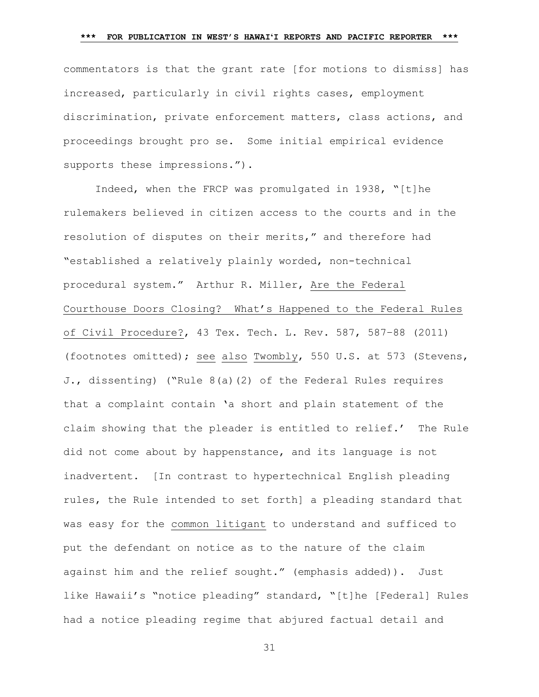commentators is that the grant rate [for motions to dismiss] has increased, particularly in civil rights cases, employment discrimination, private enforcement matters, class actions, and proceedings brought pro se. Some initial empirical evidence supports these impressions.").

Indeed, when the FRCP was promulgated in 1938, "[t]he rulemakers believed in citizen access to the courts and in the resolution of disputes on their merits," and therefore had "established a relatively plainly worded, non-technical procedural system." Arthur R. Miller, Are the Federal Courthouse Doors Closing? What's Happened to the Federal Rules of Civil Procedure?, 43 Tex. Tech. L. Rev. 587, 587–88 (2011) (footnotes omitted); see also Twombly, 550 U.S. at 573 (Stevens, J., dissenting) ("Rule 8(a)(2) of the Federal Rules requires that a complaint contain 'a short and plain statement of the claim showing that the pleader is entitled to relief.' The Rule did not come about by happenstance, and its language is not inadvertent. [In contrast to hypertechnical English pleading rules, the Rule intended to set forth] a pleading standard that was easy for the common litigant to understand and sufficed to put the defendant on notice as to the nature of the claim against him and the relief sought." (emphasis added)). Just like Hawaii's "notice pleading" standard, "[t]he [Federal] Rules had a notice pleading regime that abjured factual detail and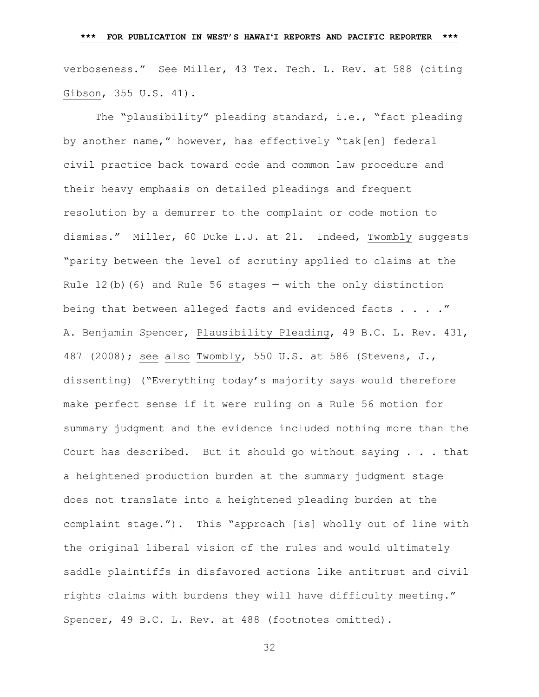verboseness." See Miller, 43 Tex. Tech. L. Rev. at 588 (citing Gibson, 355 U.S. 41).

The "plausibility" pleading standard, i.e., "fact pleading by another name," however, has effectively "tak[en] federal civil practice back toward code and common law procedure and their heavy emphasis on detailed pleadings and frequent resolution by a demurrer to the complaint or code motion to dismiss." Miller, 60 Duke L.J. at 21. Indeed, Twombly suggests "parity between the level of scrutiny applied to claims at the Rule  $12(b)$  (6) and Rule 56 stages  $-$  with the only distinction being that between alleged facts and evidenced facts . . . . " A. Benjamin Spencer, Plausibility Pleading, 49 B.C. L. Rev. 431, 487 (2008); see also Twombly, 550 U.S. at 586 (Stevens, J., dissenting) ("Everything today's majority says would therefore make perfect sense if it were ruling on a Rule 56 motion for summary judgment and the evidence included nothing more than the Court has described. But it should go without saying . . . that a heightened production burden at the summary judgment stage does not translate into a heightened pleading burden at the complaint stage."). This "approach [is] wholly out of line with the original liberal vision of the rules and would ultimately saddle plaintiffs in disfavored actions like antitrust and civil rights claims with burdens they will have difficulty meeting." Spencer, 49 B.C. L. Rev. at 488 (footnotes omitted).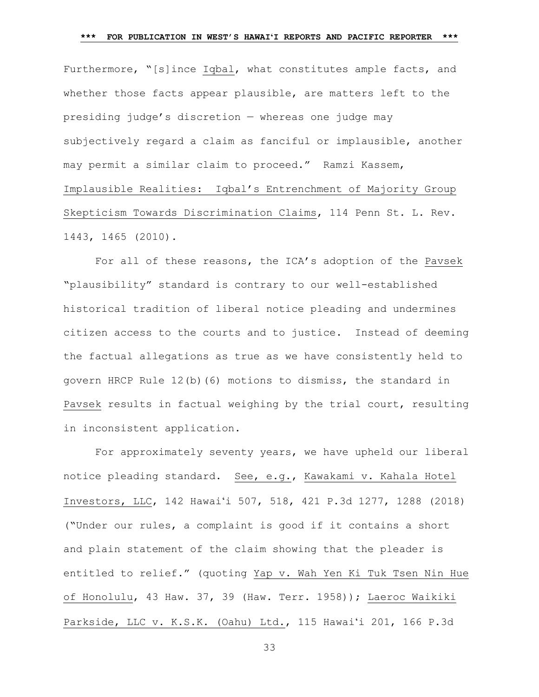### **\*\*\* FOR PUBLICATION IN WEST'S HAWAIʻI REPORTS AND PACIFIC REPORTER \*\*\***

Furthermore, "[s]ince Iqbal, what constitutes ample facts, and whether those facts appear plausible, are matters left to the presiding judge's discretion — whereas one judge may subjectively regard a claim as fanciful or implausible, another may permit a similar claim to proceed." Ramzi Kassem, Implausible Realities: Iqbal's Entrenchment of Majority Group Skepticism Towards Discrimination Claims, 114 Penn St. L. Rev. 1443, 1465 (2010).

For all of these reasons, the ICA's adoption of the Pavsek "plausibility" standard is contrary to our well-established historical tradition of liberal notice pleading and undermines citizen access to the courts and to justice. Instead of deeming the factual allegations as true as we have consistently held to govern HRCP Rule 12(b)(6) motions to dismiss, the standard in Pavsek results in factual weighing by the trial court, resulting in inconsistent application.

For approximately seventy years, we have upheld our liberal notice pleading standard. See, e.g., Kawakami v. Kahala Hotel Investors, LLC, 142 Hawaiʻi 507, 518, 421 P.3d 1277, 1288 (2018) ("Under our rules, a complaint is good if it contains a short and plain statement of the claim showing that the pleader is entitled to relief." (quoting Yap v. Wah Yen Ki Tuk Tsen Nin Hue of Honolulu, 43 Haw. 37, 39 (Haw. Terr. 1958)); Laeroc Waikiki Parkside, LLC v. K.S.K. (Oahu) Ltd., 115 Hawaiʻi 201, 166 P.3d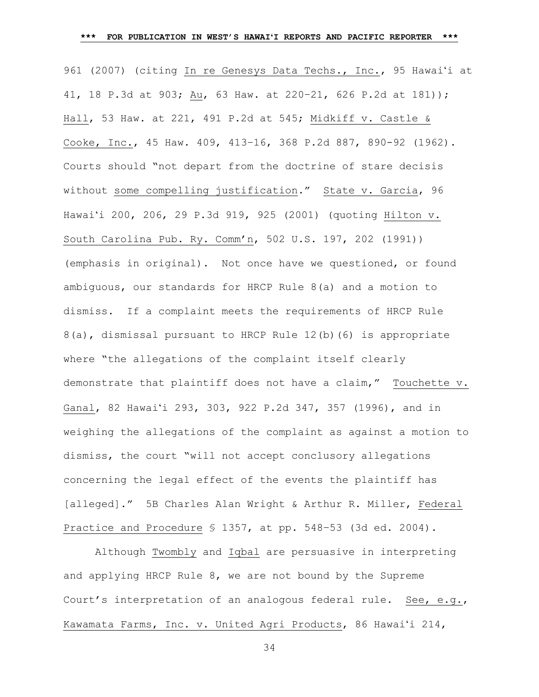961 (2007) (citing In re Genesys Data Techs., Inc., 95 Hawaiʻi at 41, 18 P.3d at 903; Au, 63 Haw. at 220–21, 626 P.2d at 181)); Hall, 53 Haw. at 221, 491 P.2d at 545; Midkiff v. Castle & Cooke, Inc., 45 Haw. 409, 413–16, 368 P.2d 887, 890-92 (1962). Courts should "not depart from the doctrine of stare decisis without some compelling justification." State v. Garcia, 96 Hawai'i 200, 206, 29 P.3d 919, 925 (2001) (quoting Hilton v. South Carolina Pub. Ry. Comm'n, 502 U.S. 197, 202 (1991)) (emphasis in original). Not once have we questioned, or found ambiguous, our standards for HRCP Rule 8(a) and a motion to dismiss. If a complaint meets the requirements of HRCP Rule 8(a), dismissal pursuant to HRCP Rule 12(b)(6) is appropriate where "the allegations of the complaint itself clearly demonstrate that plaintiff does not have a claim," Touchette v. Ganal, 82 Hawaiʻi 293, 303, 922 P.2d 347, 357 (1996), and in weighing the allegations of the complaint as against a motion to dismiss, the court "will not accept conclusory allegations concerning the legal effect of the events the plaintiff has [alleged]." 5B Charles Alan Wright & Arthur R. Miller, Federal Practice and Procedure § 1357, at pp. 548–53 (3d ed. 2004).

Although Twombly and Iqbal are persuasive in interpreting and applying HRCP Rule 8, we are not bound by the Supreme Court's interpretation of an analogous federal rule. See, e.g., Kawamata Farms, Inc. v. United Agri Products, 86 Hawaiʻi 214,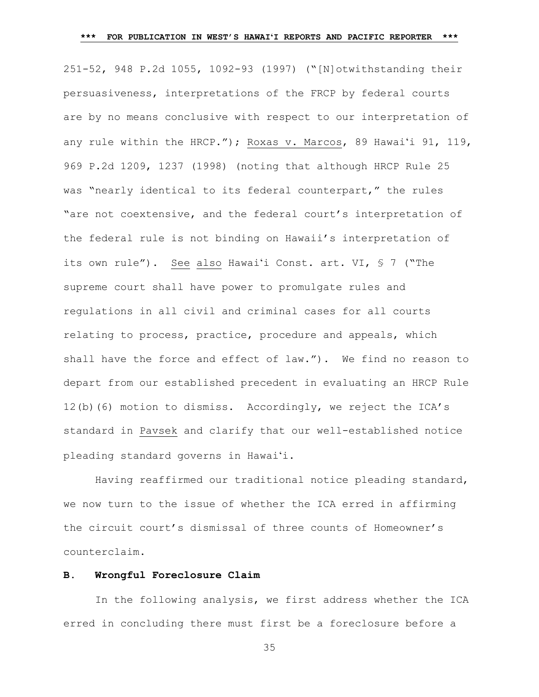251-52, 948 P.2d 1055, 1092-93 (1997) ("[N]otwithstanding their persuasiveness, interpretations of the FRCP by federal courts are by no means conclusive with respect to our interpretation of any rule within the HRCP."); Roxas v. Marcos, 89 Hawaiʻi 91, 119, 969 P.2d 1209, 1237 (1998) (noting that although HRCP Rule 25 was "nearly identical to its federal counterpart," the rules "are not coextensive, and the federal court's interpretation of the federal rule is not binding on Hawaii's interpretation of its own rule"). See also Hawaiʻi Const. art. VI, § 7 ("The supreme court shall have power to promulgate rules and regulations in all civil and criminal cases for all courts relating to process, practice, procedure and appeals, which shall have the force and effect of law."). We find no reason to depart from our established precedent in evaluating an HRCP Rule 12(b)(6) motion to dismiss. Accordingly, we reject the ICA's standard in Pavsek and clarify that our well-established notice pleading standard governs in Hawai'i.

Having reaffirmed our traditional notice pleading standard, we now turn to the issue of whether the ICA erred in affirming the circuit court's dismissal of three counts of Homeowner's counterclaim.

#### **B. Wrongful Foreclosure Claim**

In the following analysis, we first address whether the ICA erred in concluding there must first be a foreclosure before a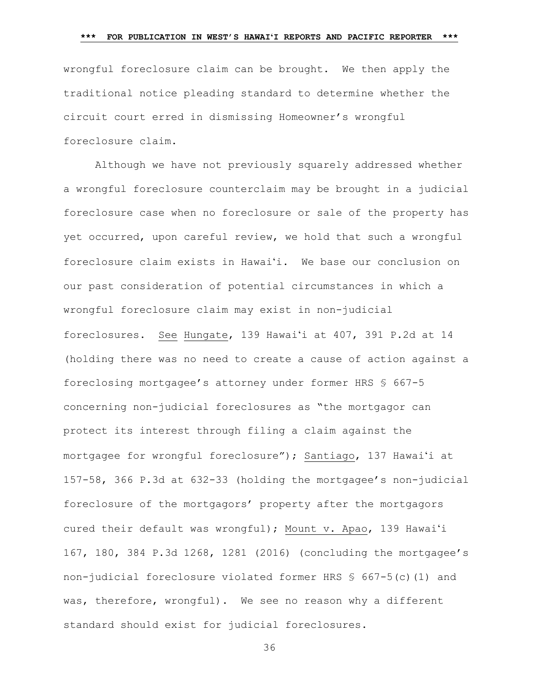wrongful foreclosure claim can be brought. We then apply the traditional notice pleading standard to determine whether the circuit court erred in dismissing Homeowner's wrongful foreclosure claim.

Although we have not previously squarely addressed whether a wrongful foreclosure counterclaim may be brought in a judicial foreclosure case when no foreclosure or sale of the property has yet occurred, upon careful review, we hold that such a wrongful foreclosure claim exists in Hawai'i. We base our conclusion on our past consideration of potential circumstances in which a wrongful foreclosure claim may exist in non-judicial foreclosures. See Hungate, 139 Hawaiʻi at 407, 391 P.2d at 14 (holding there was no need to create a cause of action against a foreclosing mortgagee's attorney under former HRS § 667-5 concerning non-judicial foreclosures as "the mortgagor can protect its interest through filing a claim against the mortgagee for wrongful foreclosure"); Santiago, 137 Hawaiʻi at 157-58, 366 P.3d at 632-33 (holding the mortgagee's non-judicial foreclosure of the mortgagors' property after the mortgagors cured their default was wrongful); Mount v. Apao, 139 Hawaiʻi 167, 180, 384 P.3d 1268, 1281 (2016) (concluding the mortgagee's non-judicial foreclosure violated former HRS  $$667-5(c)(1)$  and was, therefore, wrongful). We see no reason why a different standard should exist for judicial foreclosures.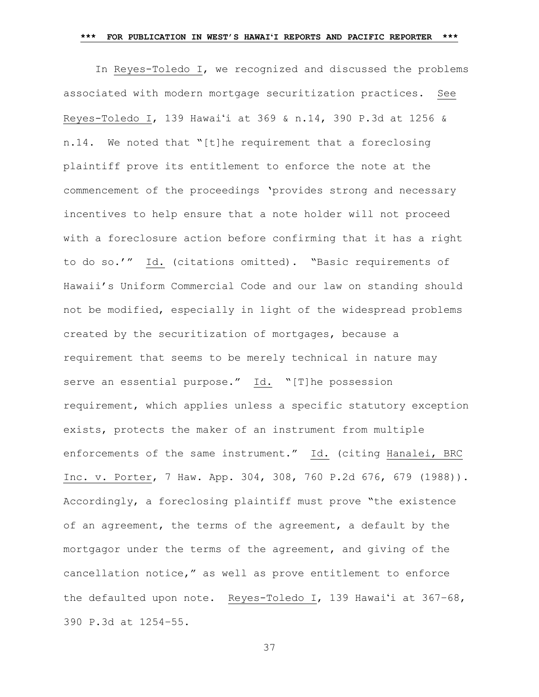#### **\*\*\* FOR PUBLICATION IN WEST'S HAWAIʻI REPORTS AND PACIFIC REPORTER \*\*\***

In Reyes-Toledo I, we recognized and discussed the problems associated with modern mortgage securitization practices. See Reyes-Toledo I, 139 Hawaiʻi at 369 & n.14, 390 P.3d at 1256 & n.14. We noted that "[t]he requirement that a foreclosing plaintiff prove its entitlement to enforce the note at the commencement of the proceedings 'provides strong and necessary incentives to help ensure that a note holder will not proceed with a foreclosure action before confirming that it has a right to do so.'" Id. (citations omitted). "Basic requirements of Hawaii's Uniform Commercial Code and our law on standing should not be modified, especially in light of the widespread problems created by the securitization of mortgages, because a requirement that seems to be merely technical in nature may serve an essential purpose." Id. "[T]he possession requirement, which applies unless a specific statutory exception exists, protects the maker of an instrument from multiple enforcements of the same instrument." Id. (citing Hanalei, BRC Inc. v. Porter, 7 Haw. App. 304, 308, 760 P.2d 676, 679 (1988)). Accordingly, a foreclosing plaintiff must prove "the existence of an agreement, the terms of the agreement, a default by the mortgagor under the terms of the agreement, and giving of the cancellation notice," as well as prove entitlement to enforce the defaulted upon note. Reyes-Toledo I, 139 Hawai'i at 367–68, 390 P.3d at 1254–55.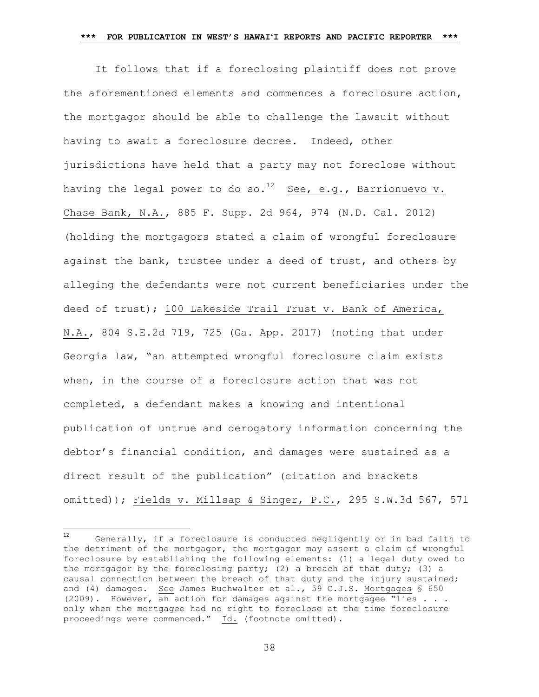It follows that if a foreclosing plaintiff does not prove the aforementioned elements and commences a foreclosure action, the mortgagor should be able to challenge the lawsuit without having to await a foreclosure decree. Indeed, other jurisdictions have held that a party may not foreclose without having the legal power to do so.<sup>12</sup> See, e.g., Barrionuevo v. Chase Bank, N.A., 885 F. Supp. 2d 964, 974 (N.D. Cal. 2012) (holding the mortgagors stated a claim of wrongful foreclosure against the bank, trustee under a deed of trust, and others by alleging the defendants were not current beneficiaries under the deed of trust); 100 Lakeside Trail Trust v. Bank of America, N.A., 804 S.E.2d 719, 725 (Ga. App. 2017) (noting that under Georgia law, "an attempted wrongful foreclosure claim exists when, in the course of a foreclosure action that was not completed, a defendant makes a knowing and intentional publication of untrue and derogatory information concerning the debtor's financial condition, and damages were sustained as a direct result of the publication" (citation and brackets omitted)); Fields v. Millsap & Singer, P.C., 295 S.W.3d 567, 571

 $12$ Generally, if a foreclosure is conducted negligently or in bad faith to the detriment of the mortgagor, the mortgagor may assert a claim of wrongful foreclosure by establishing the following elements: (1) a legal duty owed to the mortgagor by the foreclosing party; (2) a breach of that duty; (3) a causal connection between the breach of that duty and the injury sustained; and (4) damages. See James Buchwalter et al., 59 C.J.S. Mortgages § 650 (2009). However, an action for damages against the mortgagee "lies . . . only when the mortgagee had no right to foreclose at the time foreclosure proceedings were commenced." Id. (footnote omitted).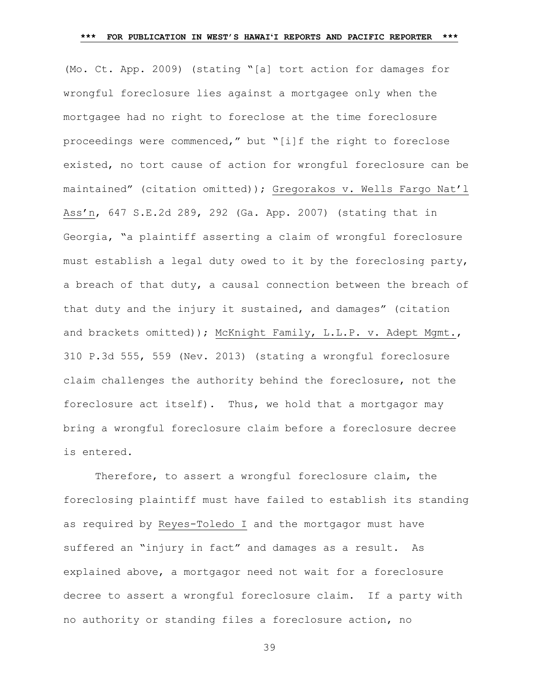(Mo. Ct. App. 2009) (stating "[a] tort action for damages for wrongful foreclosure lies against a mortgagee only when the mortgagee had no right to foreclose at the time foreclosure proceedings were commenced," but "[i]f the right to foreclose existed, no tort cause of action for wrongful foreclosure can be maintained" (citation omitted)); Gregorakos v. Wells Fargo Nat'l Ass'n, 647 S.E.2d 289, 292 (Ga. App. 2007) (stating that in Georgia, "a plaintiff asserting a claim of wrongful foreclosure must establish a legal duty owed to it by the foreclosing party, a breach of that duty, a causal connection between the breach of that duty and the injury it sustained, and damages" (citation and brackets omitted)); McKnight Family, L.L.P. v. Adept Mgmt., 310 P.3d 555, 559 (Nev. 2013) (stating a wrongful foreclosure claim challenges the authority behind the foreclosure, not the foreclosure act itself). Thus, we hold that a mortgagor may bring a wrongful foreclosure claim before a foreclosure decree is entered.

Therefore, to assert a wrongful foreclosure claim, the foreclosing plaintiff must have failed to establish its standing as required by Reyes-Toledo I and the mortgagor must have suffered an "injury in fact" and damages as a result. As explained above, a mortgagor need not wait for a foreclosure decree to assert a wrongful foreclosure claim. If a party with no authority or standing files a foreclosure action, no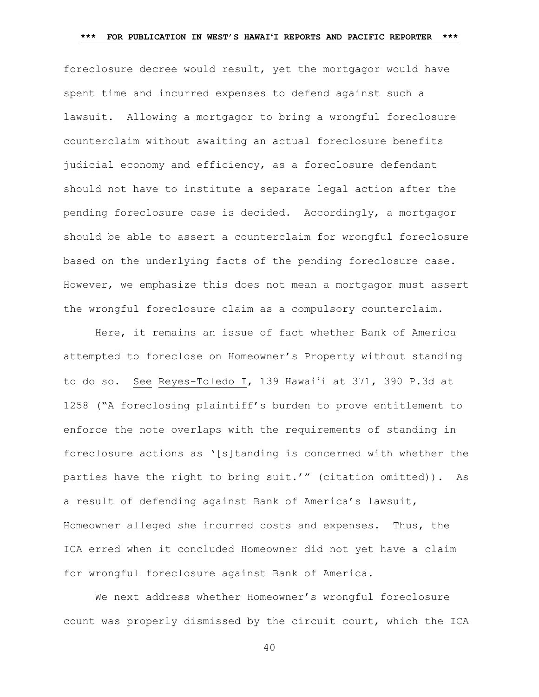foreclosure decree would result, yet the mortgagor would have spent time and incurred expenses to defend against such a lawsuit. Allowing a mortgagor to bring a wrongful foreclosure counterclaim without awaiting an actual foreclosure benefits judicial economy and efficiency, as a foreclosure defendant should not have to institute a separate legal action after the pending foreclosure case is decided. Accordingly, a mortgagor should be able to assert a counterclaim for wrongful foreclosure based on the underlying facts of the pending foreclosure case. However, we emphasize this does not mean a mortgagor must assert the wrongful foreclosure claim as a compulsory counterclaim.

Here, it remains an issue of fact whether Bank of America attempted to foreclose on Homeowner's Property without standing to do so. See Reyes-Toledo I, 139 Hawai'i at 371, 390 P.3d at 1258 ("A foreclosing plaintiff's burden to prove entitlement to enforce the note overlaps with the requirements of standing in foreclosure actions as '[s]tanding is concerned with whether the parties have the right to bring suit.'" (citation omitted)). As a result of defending against Bank of America's lawsuit, Homeowner alleged she incurred costs and expenses. Thus, the ICA erred when it concluded Homeowner did not yet have a claim for wrongful foreclosure against Bank of America.

We next address whether Homeowner's wrongful foreclosure count was properly dismissed by the circuit court, which the ICA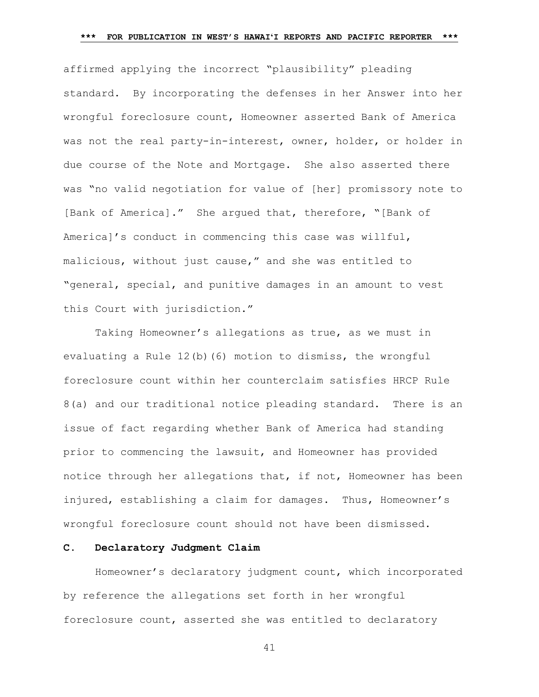affirmed applying the incorrect "plausibility" pleading standard. By incorporating the defenses in her Answer into her wrongful foreclosure count, Homeowner asserted Bank of America was not the real party-in-interest, owner, holder, or holder in due course of the Note and Mortgage. She also asserted there was "no valid negotiation for value of [her] promissory note to [Bank of America]." She argued that, therefore, "[Bank of America]'s conduct in commencing this case was willful, malicious, without just cause," and she was entitled to "general, special, and punitive damages in an amount to vest this Court with jurisdiction."

Taking Homeowner's allegations as true, as we must in evaluating a Rule 12(b)(6) motion to dismiss, the wrongful foreclosure count within her counterclaim satisfies HRCP Rule 8(a) and our traditional notice pleading standard. There is an issue of fact regarding whether Bank of America had standing prior to commencing the lawsuit, and Homeowner has provided notice through her allegations that, if not, Homeowner has been injured, establishing a claim for damages. Thus, Homeowner's wrongful foreclosure count should not have been dismissed.

## **C. Declaratory Judgment Claim**

Homeowner's declaratory judgment count, which incorporated by reference the allegations set forth in her wrongful foreclosure count, asserted she was entitled to declaratory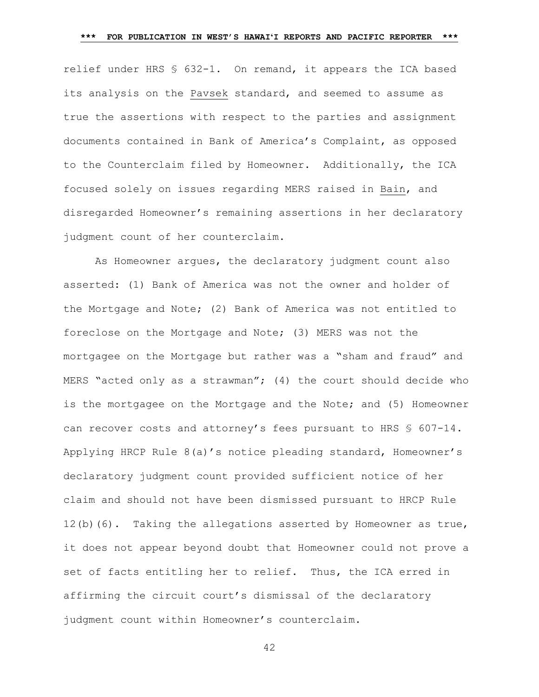relief under HRS § 632-1. On remand, it appears the ICA based its analysis on the Pavsek standard, and seemed to assume as true the assertions with respect to the parties and assignment documents contained in Bank of America's Complaint, as opposed to the Counterclaim filed by Homeowner. Additionally, the ICA focused solely on issues regarding MERS raised in Bain, and disregarded Homeowner's remaining assertions in her declaratory judgment count of her counterclaim.

As Homeowner argues, the declaratory judgment count also asserted: (1) Bank of America was not the owner and holder of the Mortgage and Note; (2) Bank of America was not entitled to foreclose on the Mortgage and Note; (3) MERS was not the mortgagee on the Mortgage but rather was a "sham and fraud" and MERS "acted only as a strawman"; (4) the court should decide who is the mortgagee on the Mortgage and the Note; and (5) Homeowner can recover costs and attorney's fees pursuant to HRS § 607-14. Applying HRCP Rule 8(a)'s notice pleading standard, Homeowner's declaratory judgment count provided sufficient notice of her claim and should not have been dismissed pursuant to HRCP Rule 12(b)(6). Taking the allegations asserted by Homeowner as true, it does not appear beyond doubt that Homeowner could not prove a set of facts entitling her to relief. Thus, the ICA erred in affirming the circuit court's dismissal of the declaratory judgment count within Homeowner's counterclaim.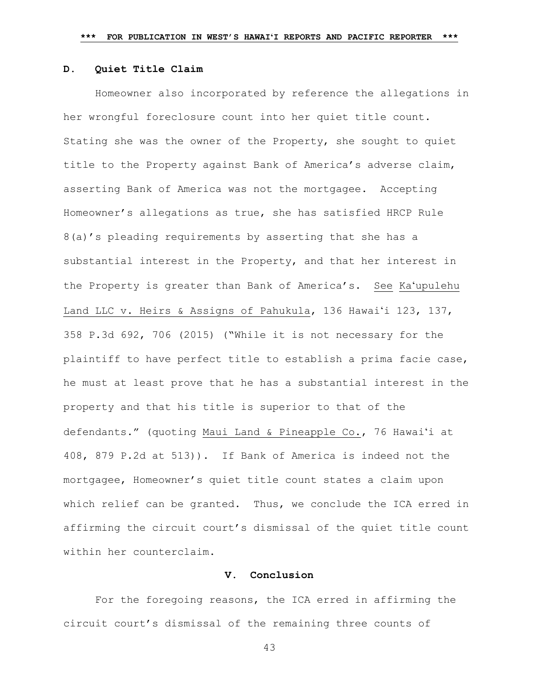## **D. Quiet Title Claim**

Homeowner also incorporated by reference the allegations in her wrongful foreclosure count into her quiet title count. Stating she was the owner of the Property, she sought to quiet title to the Property against Bank of America's adverse claim, asserting Bank of America was not the mortgagee. Accepting Homeowner's allegations as true, she has satisfied HRCP Rule 8(a)'s pleading requirements by asserting that she has a substantial interest in the Property, and that her interest in the Property is greater than Bank of America's. See Kaʻupulehu Land LLC v. Heirs & Assigns of Pahukula, 136 Hawaiʻi 123, 137, 358 P.3d 692, 706 (2015) ("While it is not necessary for the plaintiff to have perfect title to establish a prima facie case, he must at least prove that he has a substantial interest in the property and that his title is superior to that of the defendants." (quoting Maui Land & Pineapple Co., 76 Hawaiʻi at 408, 879 P.2d at 513)). If Bank of America is indeed not the mortgagee, Homeowner's quiet title count states a claim upon which relief can be granted. Thus, we conclude the ICA erred in affirming the circuit court's dismissal of the quiet title count within her counterclaim.

#### **V. Conclusion**

For the foregoing reasons, the ICA erred in affirming the circuit court's dismissal of the remaining three counts of